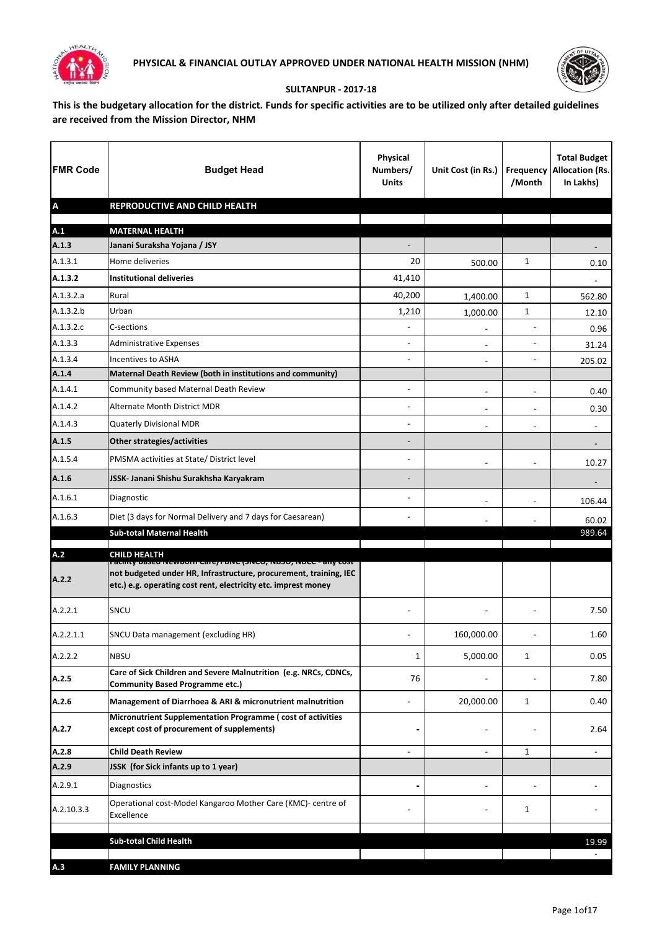



## **SULTANPUR - 2017-18**

**This is the budgetary allocation for the district. Funds for specific activities are to be utilized only after detailed guidelines are received from the Mission Director, NHM**

| <b>FMR Code</b>           | <b>Budget Head</b>                                                                                                                                                                                   | <b>Physical</b><br>Numbers/<br><b>Units</b> | Unit Cost (in Rs.)       | /Month                   | <b>Total Budget</b><br><b>Frequency Allocation (Rs.</b><br>In Lakhs) |
|---------------------------|------------------------------------------------------------------------------------------------------------------------------------------------------------------------------------------------------|---------------------------------------------|--------------------------|--------------------------|----------------------------------------------------------------------|
| $\boldsymbol{\mathsf{A}}$ | REPRODUCTIVE AND CHILD HEALTH                                                                                                                                                                        |                                             |                          |                          |                                                                      |
| A.1                       | <b>MATERNAL HEALTH</b>                                                                                                                                                                               |                                             |                          |                          |                                                                      |
| A.1.3                     | Janani Suraksha Yojana / JSY                                                                                                                                                                         |                                             |                          |                          |                                                                      |
| A.1.3.1                   | Home deliveries                                                                                                                                                                                      | 20                                          | 500.00                   | $\mathbf{1}$             | 0.10                                                                 |
| A.1.3.2                   | <b>Institutional deliveries</b>                                                                                                                                                                      | 41,410                                      |                          |                          |                                                                      |
| A.1.3.2.a                 | Rural                                                                                                                                                                                                | 40,200                                      | 1,400.00                 | 1                        | 562.80                                                               |
| A.1.3.2.b                 | Urban                                                                                                                                                                                                | 1,210                                       | 1,000.00                 | 1                        | 12.10                                                                |
| A.1.3.2.c                 | C-sections                                                                                                                                                                                           | $\blacksquare$                              | $\overline{\phantom{a}}$ | $\overline{a}$           | 0.96                                                                 |
| A.1.3.3                   | <b>Administrative Expenses</b>                                                                                                                                                                       | ۰                                           | $\blacksquare$           | $\overline{\phantom{a}}$ | 31.24                                                                |
| A.1.3.4                   | <b>Incentives to ASHA</b>                                                                                                                                                                            | ۰                                           | $\blacksquare$           | $\overline{\phantom{a}}$ | 205.02                                                               |
| A.1.4                     | Maternal Death Review (both in institutions and community)                                                                                                                                           |                                             |                          |                          |                                                                      |
| A.1.4.1                   | Community based Maternal Death Review                                                                                                                                                                | $\overline{\phantom{0}}$                    |                          |                          | 0.40                                                                 |
| A.1.4.2                   | Alternate Month District MDR                                                                                                                                                                         | ÷                                           | $\blacksquare$           | $\overline{\phantom{m}}$ | 0.30                                                                 |
| A.1.4.3                   | Quaterly Divisional MDR                                                                                                                                                                              |                                             | $\blacksquare$           | $\overline{a}$           | $\blacksquare$                                                       |
| A.1.5                     | Other strategies/activities                                                                                                                                                                          | -                                           |                          |                          |                                                                      |
| A.1.5.4                   | PMSMA activities at State/ District level                                                                                                                                                            | $\blacksquare$                              | $\blacksquare$           | $\overline{a}$           | 10.27                                                                |
| A.1.6                     | JSSK- Janani Shishu Surakhsha Karyakram                                                                                                                                                              |                                             |                          |                          |                                                                      |
| A.1.6.1                   | Diagnostic                                                                                                                                                                                           | $\blacksquare$                              | $\blacksquare$           | $\overline{\phantom{0}}$ | 106.44                                                               |
| A.1.6.3                   | Diet (3 days for Normal Delivery and 7 days for Caesarean)                                                                                                                                           | ۰                                           |                          |                          | 60.02                                                                |
|                           | <b>Sub-total Maternal Health</b>                                                                                                                                                                     |                                             |                          |                          | 989.64                                                               |
| A.2                       | <b>CHILD HEALTH</b>                                                                                                                                                                                  |                                             |                          |                          |                                                                      |
| A.2.2                     | racinty based Newborn Care/ רווס (אופן דאס), ואסכל - any cost<br>not budgeted under HR, Infrastructure, procurement, training, IEC<br>etc.) e.g. operating cost rent, electricity etc. imprest money |                                             |                          |                          |                                                                      |
| A.2.2.1                   | SNCU                                                                                                                                                                                                 |                                             |                          |                          | 7.50                                                                 |
| A.2.2.1.1                 | SNCU Data management (excluding HR)                                                                                                                                                                  |                                             | 160,000.00               |                          | 1.60                                                                 |
| A.2.2.2                   | <b>NBSU</b>                                                                                                                                                                                          | 1                                           | 5,000.00                 | 1                        | 0.05                                                                 |
| A.2.5                     | Care of Sick Children and Severe Malnutrition (e.g. NRCs, CDNCs,<br><b>Community Based Programme etc.)</b>                                                                                           | 76                                          |                          |                          | 7.80                                                                 |
| A.2.6                     | Management of Diarrhoea & ARI & micronutrient malnutrition                                                                                                                                           |                                             | 20,000.00                | 1                        | 0.40                                                                 |
| A.2.7                     | Micronutrient Supplementation Programme (cost of activities<br>except cost of procurement of supplements)                                                                                            |                                             | -                        |                          | 2.64                                                                 |
| A.2.8                     | <b>Child Death Review</b>                                                                                                                                                                            | ÷                                           | $\blacksquare$           | 1                        | $\blacksquare$                                                       |
| A.2.9                     | JSSK (for Sick infants up to 1 year)                                                                                                                                                                 |                                             |                          |                          |                                                                      |
| A.2.9.1                   | Diagnostics                                                                                                                                                                                          |                                             |                          | $\blacksquare$           |                                                                      |
| A.2.10.3.3                | Operational cost-Model Kangaroo Mother Care (KMC)- centre of<br>Excellence                                                                                                                           |                                             |                          | 1                        |                                                                      |
|                           | <b>Sub-total Child Health</b>                                                                                                                                                                        |                                             |                          |                          |                                                                      |
|                           |                                                                                                                                                                                                      |                                             |                          |                          | 19.99                                                                |
| A.3                       | <b>FAMILY PLANNING</b>                                                                                                                                                                               |                                             |                          |                          |                                                                      |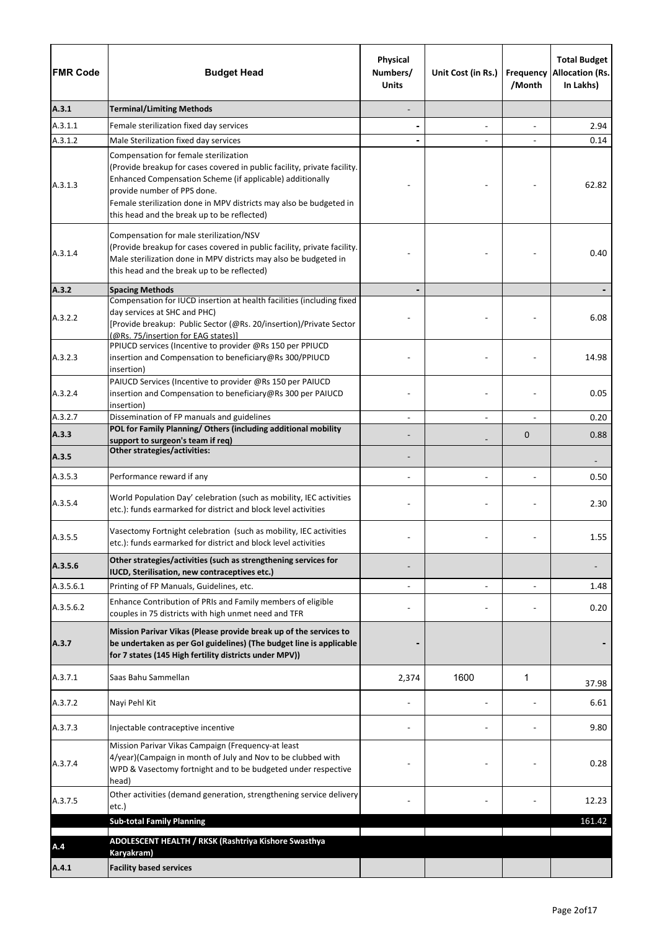| <b>FMR Code</b> | <b>Budget Head</b>                                                                                                                                                                                                                                                                                                                 | Physical<br>Numbers/<br><b>Units</b> | Unit Cost (in Rs.) | Frequency<br>/Month | <b>Total Budget</b><br><b>Allocation (Rs.</b><br>In Lakhs) |
|-----------------|------------------------------------------------------------------------------------------------------------------------------------------------------------------------------------------------------------------------------------------------------------------------------------------------------------------------------------|--------------------------------------|--------------------|---------------------|------------------------------------------------------------|
| A.3.1           | <b>Terminal/Limiting Methods</b>                                                                                                                                                                                                                                                                                                   |                                      |                    |                     |                                                            |
| A.3.1.1         | Female sterilization fixed day services                                                                                                                                                                                                                                                                                            |                                      |                    |                     | 2.94                                                       |
| A.3.1.2         | Male Sterilization fixed day services                                                                                                                                                                                                                                                                                              |                                      |                    |                     | 0.14                                                       |
| A.3.1.3         | Compensation for female sterilization<br>(Provide breakup for cases covered in public facility, private facility.<br>Enhanced Compensation Scheme (if applicable) additionally<br>provide number of PPS done.<br>Female sterilization done in MPV districts may also be budgeted in<br>this head and the break up to be reflected) |                                      |                    |                     | 62.82                                                      |
| A.3.1.4         | Compensation for male sterilization/NSV<br>(Provide breakup for cases covered in public facility, private facility.<br>Male sterilization done in MPV districts may also be budgeted in<br>this head and the break up to be reflected)                                                                                             |                                      |                    |                     | 0.40                                                       |
| A.3.2           | <b>Spacing Methods</b>                                                                                                                                                                                                                                                                                                             |                                      |                    |                     |                                                            |
| A.3.2.2         | Compensation for IUCD insertion at health facilities (including fixed<br>day services at SHC and PHC)<br>[Provide breakup: Public Sector (@Rs. 20/insertion)/Private Sector<br>(@Rs. 75/insertion for EAG states)]                                                                                                                 |                                      |                    |                     | 6.08                                                       |
| A.3.2.3         | PPIUCD services (Incentive to provider @Rs 150 per PPIUCD<br>insertion and Compensation to beneficiary@Rs 300/PPIUCD<br>insertion)                                                                                                                                                                                                 |                                      |                    |                     | 14.98                                                      |
| A.3.2.4         | PAIUCD Services (Incentive to provider @Rs 150 per PAIUCD<br>insertion and Compensation to beneficiary@Rs 300 per PAIUCD<br>insertion)                                                                                                                                                                                             |                                      |                    |                     | 0.05                                                       |
| A.3.2.7         | Dissemination of FP manuals and guidelines                                                                                                                                                                                                                                                                                         |                                      |                    |                     | 0.20                                                       |
| A.3.3           | POL for Family Planning/ Others (including additional mobility<br>support to surgeon's team if req)                                                                                                                                                                                                                                |                                      |                    | $\mathbf 0$         | 0.88                                                       |
| A.3.5           | Other strategies/activities:                                                                                                                                                                                                                                                                                                       |                                      |                    |                     |                                                            |
| A.3.5.3         | Performance reward if any                                                                                                                                                                                                                                                                                                          |                                      |                    |                     | 0.50                                                       |
| A.3.5.4         | World Population Day' celebration (such as mobility, IEC activities<br>etc.): funds earmarked for district and block level activities                                                                                                                                                                                              |                                      |                    |                     | 2.30                                                       |
| A.3.5.5         | Vasectomy Fortnight celebration (such as mobility, IEC activities<br>etc.): funds earmarked for district and block level activities                                                                                                                                                                                                |                                      |                    |                     | 1.55                                                       |
| A.3.5.6         | Other strategies/activities (such as strengthening services for<br>IUCD, Sterilisation, new contraceptives etc.)                                                                                                                                                                                                                   |                                      |                    |                     |                                                            |
| A.3.5.6.1       | Printing of FP Manuals, Guidelines, etc.                                                                                                                                                                                                                                                                                           |                                      |                    |                     | 1.48                                                       |
| A.3.5.6.2       | Enhance Contribution of PRIs and Family members of eligible<br>couples in 75 districts with high unmet need and TFR                                                                                                                                                                                                                |                                      |                    |                     | 0.20                                                       |
| A.3.7           | Mission Parivar Vikas (Please provide break up of the services to<br>be undertaken as per GoI guidelines) (The budget line is applicable<br>for 7 states (145 High fertility districts under MPV))                                                                                                                                 |                                      |                    |                     |                                                            |
| A.3.7.1         | Saas Bahu Sammellan                                                                                                                                                                                                                                                                                                                | 2,374                                | 1600               | 1                   | 37.98                                                      |
| A.3.7.2         | Nayi Pehl Kit                                                                                                                                                                                                                                                                                                                      |                                      |                    |                     | 6.61                                                       |
| A.3.7.3         | Injectable contraceptive incentive                                                                                                                                                                                                                                                                                                 |                                      |                    |                     | 9.80                                                       |
| A.3.7.4         | Mission Parivar Vikas Campaign (Frequency-at least<br>4/year)(Campaign in month of July and Nov to be clubbed with<br>WPD & Vasectomy fortnight and to be budgeted under respective<br>head)                                                                                                                                       |                                      |                    |                     | 0.28                                                       |
| A.3.7.5         | Other activities (demand generation, strengthening service delivery<br>etc.)                                                                                                                                                                                                                                                       |                                      |                    |                     | 12.23                                                      |
|                 | <b>Sub-total Family Planning</b>                                                                                                                                                                                                                                                                                                   |                                      |                    |                     | 161.42                                                     |
| A.4             | ADOLESCENT HEALTH / RKSK (Rashtriya Kishore Swasthya<br>Karyakram)                                                                                                                                                                                                                                                                 |                                      |                    |                     |                                                            |
| A.4.1           | <b>Facility based services</b>                                                                                                                                                                                                                                                                                                     |                                      |                    |                     |                                                            |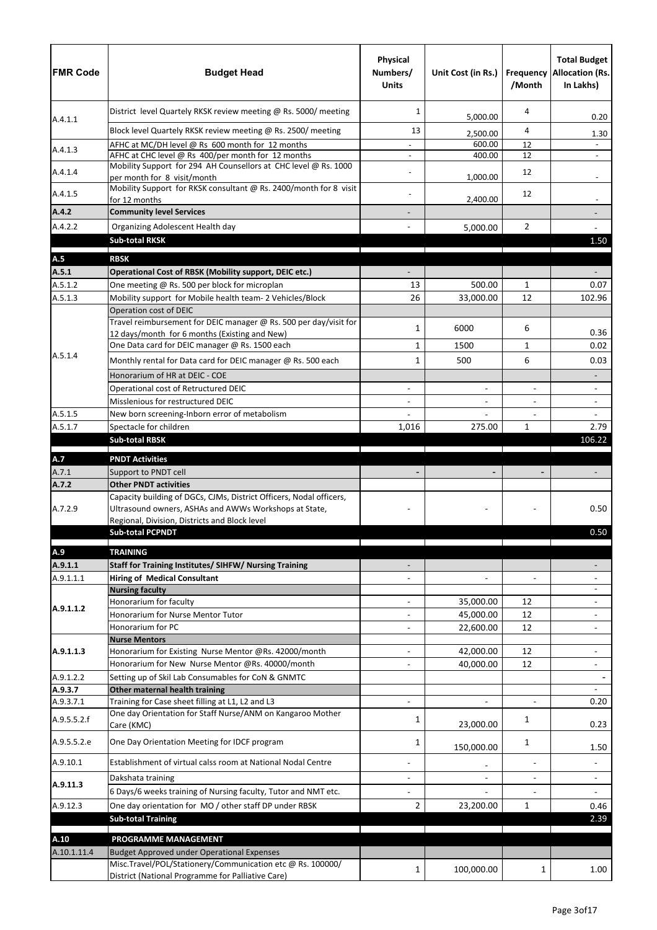| <b>FMR Code</b>      | <b>Budget Head</b>                                                                                                | Physical<br>Numbers/<br><b>Units</b> | Unit Cost (in Rs.)   | /Month         | <b>Total Budget</b><br><b>Frequency Allocation (Rs.</b><br>In Lakhs) |
|----------------------|-------------------------------------------------------------------------------------------------------------------|--------------------------------------|----------------------|----------------|----------------------------------------------------------------------|
|                      | District level Quartely RKSK review meeting @ Rs. 5000/ meeting                                                   | 1                                    | 5,000.00             | 4              | 0.20                                                                 |
| A.4.1.1              | Block level Quartely RKSK review meeting @ Rs. 2500/ meeting                                                      | 13                                   | 2,500.00             | 4              | 1.30                                                                 |
|                      | AFHC at MC/DH level @ Rs 600 month for 12 months                                                                  |                                      | 600.00               | 12             |                                                                      |
| A.4.1.3              | AFHC at CHC level @ Rs 400/per month for 12 months                                                                |                                      | 400.00               | 12             |                                                                      |
| A.4.1.4              | Mobility Support for 294 AH Counsellors at CHC level @ Rs. 1000                                                   |                                      |                      | 12             |                                                                      |
| A.4.1.5              | per month for 8 visit/month<br>Mobility Support for RKSK consultant @ Rs. 2400/month for 8 visit<br>for 12 months |                                      | 1,000.00<br>2,400.00 | 12             |                                                                      |
| A.4.2                | <b>Community level Services</b>                                                                                   |                                      |                      |                |                                                                      |
| A.4.2.2              | Organizing Adolescent Health day                                                                                  |                                      | 5,000.00             | $\overline{2}$ |                                                                      |
|                      | <b>Sub-total RKSK</b>                                                                                             |                                      |                      |                | 1.50                                                                 |
| A.5                  | <b>RBSK</b>                                                                                                       |                                      |                      |                |                                                                      |
| A.5.1                | Operational Cost of RBSK (Mobility support, DEIC etc.)                                                            |                                      |                      |                |                                                                      |
| A.5.1.2              | One meeting @ Rs. 500 per block for microplan                                                                     | 13                                   | 500.00               | $\mathbf{1}$   | 0.07                                                                 |
| A.5.1.3              | Mobility support for Mobile health team- 2 Vehicles/Block                                                         | 26                                   | 33,000.00            | 12             | 102.96                                                               |
|                      | Operation cost of DEIC                                                                                            |                                      |                      |                |                                                                      |
|                      | Travel reimbursement for DEIC manager @ Rs. 500 per day/visit for                                                 | 1                                    | 6000                 | 6              |                                                                      |
|                      | 12 days/month for 6 months (Existing and New)                                                                     |                                      |                      |                | 0.36                                                                 |
| A.5.1.4              | One Data card for DEIC manager @ Rs. 1500 each                                                                    | 1                                    | 1500                 | $\mathbf{1}$   | 0.02                                                                 |
|                      | Monthly rental for Data card for DEIC manager @ Rs. 500 each                                                      | 1                                    | 500                  | 6              | 0.03                                                                 |
|                      | Honorarium of HR at DEIC - COE                                                                                    |                                      |                      |                |                                                                      |
|                      | Operational cost of Retructured DEIC                                                                              |                                      |                      | $\blacksquare$ |                                                                      |
|                      | Misslenious for restructured DEIC                                                                                 |                                      |                      |                | $\blacksquare$                                                       |
| A.5.1.5<br>A.5.1.7   | New born screening-Inborn error of metabolism<br>Spectacle for children                                           | 1,016                                | 275.00               | $\mathbf{1}$   | $\overline{a}$<br>2.79                                               |
|                      | <b>Sub-total RBSK</b>                                                                                             |                                      |                      |                | 106.22                                                               |
|                      |                                                                                                                   |                                      |                      |                |                                                                      |
| A.7                  | <b>PNDT Activities</b>                                                                                            |                                      |                      |                |                                                                      |
| A.7.1                | Support to PNDT cell                                                                                              |                                      |                      |                |                                                                      |
| A.7.2                | <b>Other PNDT activities</b><br>Capacity building of DGCs, CJMs, District Officers, Nodal officers,               |                                      |                      |                |                                                                      |
| A.7.2.9              | Ultrasound owners, ASHAs and AWWs Workshops at State,                                                             |                                      |                      |                | 0.50                                                                 |
|                      | Regional, Division, Districts and Block level<br><b>Sub-total PCPNDT</b>                                          |                                      |                      |                | 0.50                                                                 |
|                      |                                                                                                                   |                                      |                      |                |                                                                      |
| A.9                  | <b>TRAINING</b>                                                                                                   |                                      |                      |                |                                                                      |
| A.9.1.1<br>A.9.1.1.1 | <b>Staff for Training Institutes/ SIHFW/ Nursing Training</b><br><b>Hiring of Medical Consultant</b>              |                                      | $\sim$               | $\overline{a}$ |                                                                      |
|                      | <b>Nursing faculty</b>                                                                                            |                                      |                      |                |                                                                      |
|                      | Honorarium for faculty                                                                                            |                                      | 35,000.00            | 12             |                                                                      |
| A.9.1.1.2            | Honorarium for Nurse Mentor Tutor                                                                                 |                                      | 45,000.00            | 12             |                                                                      |
|                      | Honorarium for PC                                                                                                 |                                      | 22,600.00            | 12             |                                                                      |
|                      | <b>Nurse Mentors</b>                                                                                              |                                      |                      |                |                                                                      |
| A.9.1.1.3            | Honorarium for Existing Nurse Mentor @Rs. 42000/month                                                             |                                      | 42,000.00            | 12             |                                                                      |
|                      | Honorarium for New Nurse Mentor @Rs. 40000/month                                                                  |                                      | 40,000.00            | 12             |                                                                      |
| A.9.1.2.2<br>A.9.3.7 | Setting up of Skil Lab Consumables for CoN & GNMTC<br>Other maternal health training                              |                                      |                      |                |                                                                      |
| A.9.3.7.1            | Training for Case sheet filling at L1, L2 and L3                                                                  |                                      |                      | $\omega$       | 0.20                                                                 |
| A.9.5.5.2.f          | One day Orientation for Staff Nurse/ANM on Kangaroo Mother<br>Care (KMC)                                          | 1                                    | 23,000.00            | 1              | 0.23                                                                 |
| A.9.5.5.2.e          | One Day Orientation Meeting for IDCF program                                                                      | 1                                    | 150,000.00           | 1              | 1.50                                                                 |
| A.9.10.1             | Establishment of virtual calss room at National Nodal Centre                                                      |                                      |                      | $\blacksquare$ |                                                                      |
| A.9.11.3             | Dakshata training                                                                                                 |                                      | $\blacksquare$       | $\blacksquare$ | $\blacksquare$                                                       |
|                      | 6 Days/6 weeks training of Nursing faculty, Tutor and NMT etc.                                                    |                                      |                      |                |                                                                      |
| A.9.12.3             | One day orientation for MO / other staff DP under RBSK                                                            | 2                                    | 23,200.00            | $\mathbf{1}$   | 0.46                                                                 |
|                      | <b>Sub-total Training</b>                                                                                         |                                      |                      |                | 2.39                                                                 |
| A.10                 | PROGRAMME MANAGEMENT                                                                                              |                                      |                      |                |                                                                      |
| A.10.1.11.4          | Budget Approved under Operational Expenses                                                                        |                                      |                      |                |                                                                      |
|                      | Misc.Travel/POL/Stationery/Communication etc @ Rs. 100000/<br>District (National Programme for Palliative Care)   | 1                                    | 100,000.00           | 1              | 1.00                                                                 |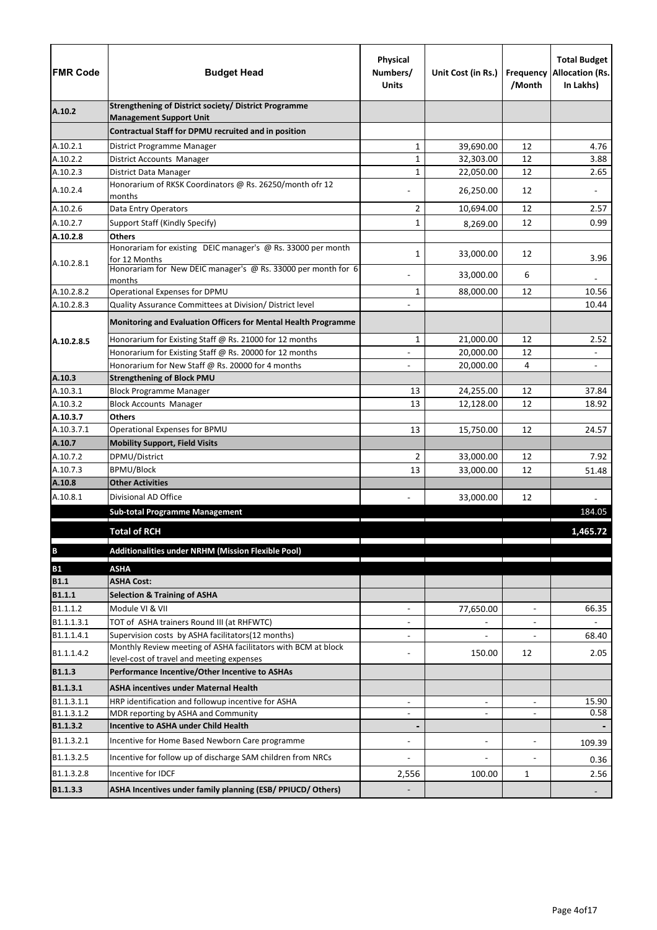| <b>FMR Code</b>      | <b>Budget Head</b>                                                                                         | Physical<br>Numbers/<br><b>Units</b> | Unit Cost (in Rs.)       | Frequency<br>/Month      | <b>Total Budget</b><br><b>Allocation (Rs.</b><br>In Lakhs) |
|----------------------|------------------------------------------------------------------------------------------------------------|--------------------------------------|--------------------------|--------------------------|------------------------------------------------------------|
| A.10.2               | <b>Strengthening of District society/ District Programme</b>                                               |                                      |                          |                          |                                                            |
|                      | <b>Management Support Unit</b><br>Contractual Staff for DPMU recruited and in position                     |                                      |                          |                          |                                                            |
|                      |                                                                                                            |                                      |                          |                          |                                                            |
| A.10.2.1<br>A.10.2.2 | District Programme Manager<br><b>District Accounts Manager</b>                                             | 1<br>$\mathbf 1$                     | 39,690.00<br>32,303.00   | 12<br>12                 | 4.76<br>3.88                                               |
| A.10.2.3             | District Data Manager                                                                                      | $\mathbf 1$                          | 22,050.00                | 12                       | 2.65                                                       |
|                      | Honorarium of RKSK Coordinators @ Rs. 26250/month ofr 12                                                   |                                      |                          |                          |                                                            |
| A.10.2.4             | months                                                                                                     |                                      | 26,250.00                | 12                       |                                                            |
| A.10.2.6             | Data Entry Operators                                                                                       | 2                                    | 10,694.00                | 12                       | 2.57                                                       |
| A.10.2.7             | Support Staff (Kindly Specify)                                                                             | 1                                    | 8,269.00                 | 12                       | 0.99                                                       |
| A.10.2.8             | <b>Others</b>                                                                                              |                                      |                          |                          |                                                            |
|                      | Honorariam for existing DEIC manager's @ Rs. 33000 per month                                               | $\mathbf 1$                          | 33,000.00                | 12                       |                                                            |
| A.10.2.8.1           | for 12 Months<br>Honorariam for New DEIC manager's @ Rs. 33000 per month for 6                             |                                      |                          |                          | 3.96                                                       |
|                      | months                                                                                                     |                                      | 33,000.00                | 6                        |                                                            |
| A.10.2.8.2           | Operational Expenses for DPMU                                                                              | $\mathbf{1}$                         | 88,000.00                | 12                       | 10.56                                                      |
| A.10.2.8.3           | Quality Assurance Committees at Division/ District level                                                   |                                      |                          |                          | 10.44                                                      |
|                      | Monitoring and Evaluation Officers for Mental Health Programme                                             |                                      |                          |                          |                                                            |
| A.10.2.8.5           | Honorarium for Existing Staff @ Rs. 21000 for 12 months                                                    | 1                                    | 21,000.00                | 12                       | 2.52                                                       |
|                      | Honorarium for Existing Staff @ Rs. 20000 for 12 months                                                    |                                      | 20,000.00                | 12                       |                                                            |
|                      | Honorarium for New Staff @ Rs. 20000 for 4 months                                                          |                                      | 20,000.00                | 4                        |                                                            |
| A.10.3               | <b>Strengthening of Block PMU</b>                                                                          |                                      |                          |                          |                                                            |
| A.10.3.1             | <b>Block Programme Manager</b>                                                                             | 13                                   | 24,255.00                | 12                       | 37.84                                                      |
| A.10.3.2             | <b>Block Accounts Manager</b>                                                                              | 13                                   | 12,128.00                | 12                       | 18.92                                                      |
| A.10.3.7             | <b>Others</b>                                                                                              |                                      |                          |                          |                                                            |
| A.10.3.7.1           | Operational Expenses for BPMU                                                                              | 13                                   | 15,750.00                | 12                       | 24.57                                                      |
| A.10.7               | <b>Mobility Support, Field Visits</b>                                                                      |                                      |                          |                          |                                                            |
| A.10.7.2             | DPMU/District                                                                                              | $\overline{2}$                       | 33,000.00                | 12                       | 7.92                                                       |
| A.10.7.3             | <b>BPMU/Block</b>                                                                                          | 13                                   | 33,000.00                | 12                       | 51.48                                                      |
| A.10.8               | <b>Other Activities</b>                                                                                    |                                      |                          |                          |                                                            |
| A.10.8.1             | Divisional AD Office                                                                                       |                                      | 33,000.00                | 12                       |                                                            |
|                      | <b>Sub-total Programme Management</b>                                                                      |                                      |                          |                          | 184.05                                                     |
|                      | <b>Total of RCH</b>                                                                                        |                                      |                          |                          | 1,465.72                                                   |
| $\, {\bf B}$         | Additionalities under NRHM (Mission Flexible Pool)                                                         |                                      |                          |                          |                                                            |
| <b>B1</b>            | <b>ASHA</b>                                                                                                |                                      |                          |                          |                                                            |
| <b>B1.1</b>          | <b>ASHA Cost:</b>                                                                                          |                                      |                          |                          |                                                            |
| <b>B1.1.1</b>        | <b>Selection &amp; Training of ASHA</b>                                                                    |                                      |                          |                          |                                                            |
| B1.1.1.2             | Module VI & VII                                                                                            | $\overline{\phantom{a}}$             | 77,650.00                | $\blacksquare$           | 66.35                                                      |
| B1.1.1.3.1           | TOT of ASHA trainers Round III (at RHFWTC)                                                                 |                                      |                          |                          |                                                            |
| B1.1.1.4.1           | Supervision costs by ASHA facilitators(12 months)                                                          | $\blacksquare$                       |                          |                          | 68.40                                                      |
| B1.1.1.4.2           | Monthly Review meeting of ASHA facilitators with BCM at block<br>level-cost of travel and meeting expenses |                                      | 150.00                   | 12                       | 2.05                                                       |
| <b>B1.1.3</b>        | Performance Incentive/Other Incentive to ASHAs                                                             |                                      |                          |                          |                                                            |
| B1.1.3.1             | <b>ASHA incentives under Maternal Health</b>                                                               |                                      |                          |                          |                                                            |
| B1.1.3.1.1           | HRP identification and followup incentive for ASHA                                                         | $\blacksquare$                       | $\overline{\phantom{a}}$ | $\blacksquare$           | 15.90                                                      |
| B1.1.3.1.2           | MDR reporting by ASHA and Community                                                                        |                                      | $\blacksquare$           | $\blacksquare$           | 0.58                                                       |
| B1.1.3.2             | <b>Incentive to ASHA under Child Health</b>                                                                |                                      |                          |                          |                                                            |
| B1.1.3.2.1           | Incentive for Home Based Newborn Care programme                                                            | $\blacksquare$                       | $\blacksquare$           | $\overline{\phantom{a}}$ |                                                            |
|                      |                                                                                                            |                                      |                          |                          | 109.39                                                     |
| B1.1.3.2.5           | Incentive for follow up of discharge SAM children from NRCs                                                |                                      |                          |                          | 0.36                                                       |
| B1.1.3.2.8           | Incentive for IDCF                                                                                         | 2,556                                | 100.00                   | 1                        | 2.56                                                       |
| B1.1.3.3             | ASHA Incentives under family planning (ESB/ PPIUCD/ Others)                                                |                                      |                          |                          |                                                            |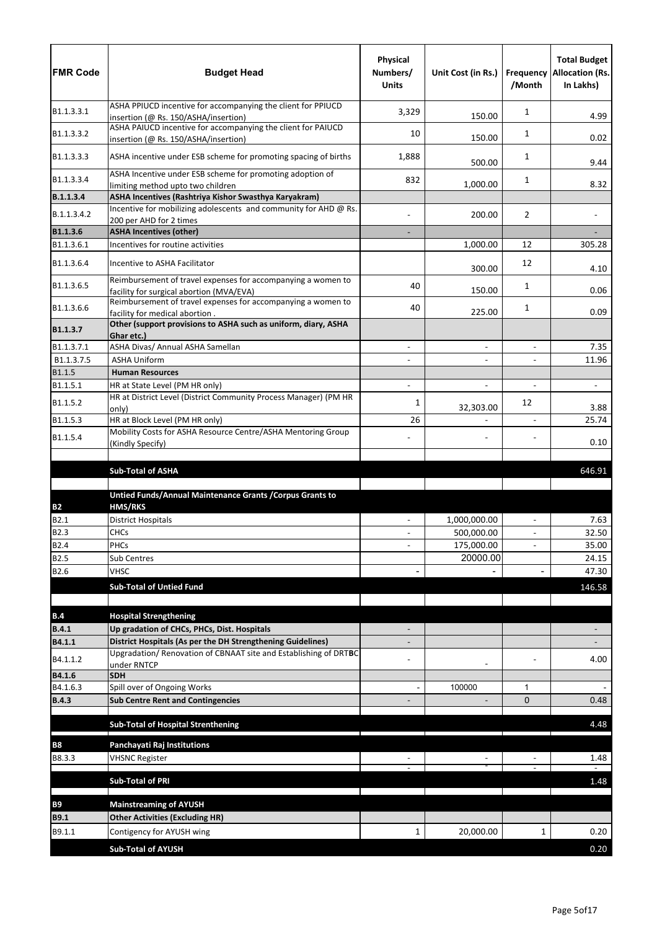| ASHA PPIUCD incentive for accompanying the client for PPIUCD<br>B1.1.3.3.1<br>3,329<br>1<br>4.99<br>150.00<br>insertion (@ Rs. 150/ASHA/insertion)<br>ASHA PAIUCD incentive for accompanying the client for PAIUCD<br>B1.1.3.3.2<br>10<br>1<br>150.00<br>0.02<br>insertion (@ Rs. 150/ASHA/insertion)<br>ASHA incentive under ESB scheme for promoting spacing of births<br>B1.1.3.3.3<br>1,888<br>1<br>500.00<br>9.44<br>ASHA Incentive under ESB scheme for promoting adoption of<br>B1.1.3.3.4<br>832<br>1<br>1,000.00<br>8.32<br>limiting method upto two children<br>ASHA Incentives (Rashtriya Kishor Swasthya Karyakram)<br>B.1.1.3.4<br>Incentive for mobilizing adolescents and community for AHD @ Rs.<br>200.00<br>$\overline{2}$<br>B.1.1.3.4.2<br>200 per AHD for 2 times<br>B1.1.3.6<br><b>ASHA Incentives (other)</b><br>305.28<br>B1.1.3.6.1<br>Incentives for routine activities<br>1,000.00<br>12<br>B1.1.3.6.4<br>Incentive to ASHA Facilitator<br>12<br>300.00<br>4.10<br>Reimbursement of travel expenses for accompanying a women to<br>B1.1.3.6.5<br>40<br>1<br>150.00<br>0.06<br>facility for surgical abortion (MVA/EVA)<br>Reimbursement of travel expenses for accompanying a women to<br>B1.1.3.6.6<br>40<br>1<br>225.00<br>0.09<br>facility for medical abortion.<br>Other (support provisions to ASHA such as uniform, diary, ASHA<br>Ghar etc.)<br>B1.1.3.7.1<br>ASHA Divas/ Annual ASHA Samellan<br>7.35<br>$\overline{a}$<br>$\blacksquare$<br>B1.1.3.7.5<br><b>ASHA Uniform</b><br>11.96<br>÷,<br>$\blacksquare$<br>B1.1.5<br><b>Human Resources</b><br>B1.1.5.1<br>HR at State Level (PM HR only)<br>$\blacksquare$<br>$\blacksquare$<br>HR at District Level (District Community Process Manager) (PM HR<br>B1.1.5.2<br>12<br>1<br>32,303.00<br>3.88<br>only)<br>B1.1.5.3<br>26<br>HR at Block Level (PM HR only)<br>25.74<br>$\blacksquare$<br>Mobility Costs for ASHA Resource Centre/ASHA Mentoring Group<br>B1.1.5.4<br>0.10<br>(Kindly Specify)<br>646.91<br><b>Sub-Total of ASHA</b><br>Untied Funds/Annual Maintenance Grants / Corpus Grants to<br><b>HMS/RKS</b><br><b>B2</b><br>1,000,000.00<br>7.63<br>B2.1<br><b>District Hospitals</b><br>$\blacksquare$<br>$\blacksquare$<br><b>B2.3</b><br>500,000.00<br>32.50<br><b>CHCs</b><br><b>B2.4</b><br>PHCs<br>175,000.00<br>35.00<br>$\blacksquare$<br>20000.00<br><b>B2.5</b><br>Sub Centres<br>24.15<br>B2.6<br><b>VHSC</b><br>47.30<br><b>Sub-Total of Untied Fund</b><br>146.58<br><b>Hospital Strengthening</b><br>B.4<br><b>B.4.1</b><br>Up gradation of CHCs, PHCs, Dist. Hospitals<br>District Hospitals (As per the DH Strengthening Guidelines)<br>B4.1.1<br>Upgradation/ Renovation of CBNAAT site and Establishing of DRTBC<br>B4.1.1.2<br>4.00<br>under RNTCP<br>B4.1.6<br><b>SDH</b><br>B4.1.6.3<br>Spill over of Ongoing Works<br>100000<br>1<br><b>B.4.3</b><br><b>Sub Centre Rent and Contingencies</b><br>$\Omega$<br>0.48<br><b>Sub-Total of Hospital Strenthening</b><br>4.48<br><b>B8</b><br>Panchayati Raj Institutions<br>B8.3.3<br>1.48<br><b>VHSNC Register</b><br><b>Sub-Total of PRI</b><br>1.48<br><b>B9</b><br><b>Mainstreaming of AYUSH</b><br><b>Other Activities (Excluding HR)</b><br><b>B9.1</b><br>B9.1.1<br>20,000.00<br>0.20<br>Contigency for AYUSH wing<br>1<br>1<br><b>Sub-Total of AYUSH</b><br>0.20 | <b>FMR Code</b> | <b>Budget Head</b> | Physical<br>Numbers/<br><b>Units</b> | Unit Cost (in Rs.) | /Month | <b>Total Budget</b><br><b>Frequency Allocation (Rs.</b><br>In Lakhs) |
|--------------------------------------------------------------------------------------------------------------------------------------------------------------------------------------------------------------------------------------------------------------------------------------------------------------------------------------------------------------------------------------------------------------------------------------------------------------------------------------------------------------------------------------------------------------------------------------------------------------------------------------------------------------------------------------------------------------------------------------------------------------------------------------------------------------------------------------------------------------------------------------------------------------------------------------------------------------------------------------------------------------------------------------------------------------------------------------------------------------------------------------------------------------------------------------------------------------------------------------------------------------------------------------------------------------------------------------------------------------------------------------------------------------------------------------------------------------------------------------------------------------------------------------------------------------------------------------------------------------------------------------------------------------------------------------------------------------------------------------------------------------------------------------------------------------------------------------------------------------------------------------------------------------------------------------------------------------------------------------------------------------------------------------------------------------------------------------------------------------------------------------------------------------------------------------------------------------------------------------------------------------------------------------------------------------------------------------------------------------------------------------------------------------------------------------------------------------------------------------------------------------------------------------------------------------------------------------------------------------------------------------------------------------------------------------------------------------------------------------------------------------------------------------------------------------------------------------------------------------------------------------------------------------------------------------------------------------------------------------------------------------------------------------------------------------------------------------------------------------------------------------------------------------------------------------------------------------------------------------------------------------------------------------------------------------------------------------------|-----------------|--------------------|--------------------------------------|--------------------|--------|----------------------------------------------------------------------|
|                                                                                                                                                                                                                                                                                                                                                                                                                                                                                                                                                                                                                                                                                                                                                                                                                                                                                                                                                                                                                                                                                                                                                                                                                                                                                                                                                                                                                                                                                                                                                                                                                                                                                                                                                                                                                                                                                                                                                                                                                                                                                                                                                                                                                                                                                                                                                                                                                                                                                                                                                                                                                                                                                                                                                                                                                                                                                                                                                                                                                                                                                                                                                                                                                                                                                                                                            |                 |                    |                                      |                    |        |                                                                      |
|                                                                                                                                                                                                                                                                                                                                                                                                                                                                                                                                                                                                                                                                                                                                                                                                                                                                                                                                                                                                                                                                                                                                                                                                                                                                                                                                                                                                                                                                                                                                                                                                                                                                                                                                                                                                                                                                                                                                                                                                                                                                                                                                                                                                                                                                                                                                                                                                                                                                                                                                                                                                                                                                                                                                                                                                                                                                                                                                                                                                                                                                                                                                                                                                                                                                                                                                            |                 |                    |                                      |                    |        |                                                                      |
|                                                                                                                                                                                                                                                                                                                                                                                                                                                                                                                                                                                                                                                                                                                                                                                                                                                                                                                                                                                                                                                                                                                                                                                                                                                                                                                                                                                                                                                                                                                                                                                                                                                                                                                                                                                                                                                                                                                                                                                                                                                                                                                                                                                                                                                                                                                                                                                                                                                                                                                                                                                                                                                                                                                                                                                                                                                                                                                                                                                                                                                                                                                                                                                                                                                                                                                                            |                 |                    |                                      |                    |        |                                                                      |
|                                                                                                                                                                                                                                                                                                                                                                                                                                                                                                                                                                                                                                                                                                                                                                                                                                                                                                                                                                                                                                                                                                                                                                                                                                                                                                                                                                                                                                                                                                                                                                                                                                                                                                                                                                                                                                                                                                                                                                                                                                                                                                                                                                                                                                                                                                                                                                                                                                                                                                                                                                                                                                                                                                                                                                                                                                                                                                                                                                                                                                                                                                                                                                                                                                                                                                                                            |                 |                    |                                      |                    |        |                                                                      |
|                                                                                                                                                                                                                                                                                                                                                                                                                                                                                                                                                                                                                                                                                                                                                                                                                                                                                                                                                                                                                                                                                                                                                                                                                                                                                                                                                                                                                                                                                                                                                                                                                                                                                                                                                                                                                                                                                                                                                                                                                                                                                                                                                                                                                                                                                                                                                                                                                                                                                                                                                                                                                                                                                                                                                                                                                                                                                                                                                                                                                                                                                                                                                                                                                                                                                                                                            |                 |                    |                                      |                    |        |                                                                      |
|                                                                                                                                                                                                                                                                                                                                                                                                                                                                                                                                                                                                                                                                                                                                                                                                                                                                                                                                                                                                                                                                                                                                                                                                                                                                                                                                                                                                                                                                                                                                                                                                                                                                                                                                                                                                                                                                                                                                                                                                                                                                                                                                                                                                                                                                                                                                                                                                                                                                                                                                                                                                                                                                                                                                                                                                                                                                                                                                                                                                                                                                                                                                                                                                                                                                                                                                            |                 |                    |                                      |                    |        |                                                                      |
|                                                                                                                                                                                                                                                                                                                                                                                                                                                                                                                                                                                                                                                                                                                                                                                                                                                                                                                                                                                                                                                                                                                                                                                                                                                                                                                                                                                                                                                                                                                                                                                                                                                                                                                                                                                                                                                                                                                                                                                                                                                                                                                                                                                                                                                                                                                                                                                                                                                                                                                                                                                                                                                                                                                                                                                                                                                                                                                                                                                                                                                                                                                                                                                                                                                                                                                                            |                 |                    |                                      |                    |        |                                                                      |
|                                                                                                                                                                                                                                                                                                                                                                                                                                                                                                                                                                                                                                                                                                                                                                                                                                                                                                                                                                                                                                                                                                                                                                                                                                                                                                                                                                                                                                                                                                                                                                                                                                                                                                                                                                                                                                                                                                                                                                                                                                                                                                                                                                                                                                                                                                                                                                                                                                                                                                                                                                                                                                                                                                                                                                                                                                                                                                                                                                                                                                                                                                                                                                                                                                                                                                                                            |                 |                    |                                      |                    |        |                                                                      |
|                                                                                                                                                                                                                                                                                                                                                                                                                                                                                                                                                                                                                                                                                                                                                                                                                                                                                                                                                                                                                                                                                                                                                                                                                                                                                                                                                                                                                                                                                                                                                                                                                                                                                                                                                                                                                                                                                                                                                                                                                                                                                                                                                                                                                                                                                                                                                                                                                                                                                                                                                                                                                                                                                                                                                                                                                                                                                                                                                                                                                                                                                                                                                                                                                                                                                                                                            |                 |                    |                                      |                    |        |                                                                      |
|                                                                                                                                                                                                                                                                                                                                                                                                                                                                                                                                                                                                                                                                                                                                                                                                                                                                                                                                                                                                                                                                                                                                                                                                                                                                                                                                                                                                                                                                                                                                                                                                                                                                                                                                                                                                                                                                                                                                                                                                                                                                                                                                                                                                                                                                                                                                                                                                                                                                                                                                                                                                                                                                                                                                                                                                                                                                                                                                                                                                                                                                                                                                                                                                                                                                                                                                            |                 |                    |                                      |                    |        |                                                                      |
|                                                                                                                                                                                                                                                                                                                                                                                                                                                                                                                                                                                                                                                                                                                                                                                                                                                                                                                                                                                                                                                                                                                                                                                                                                                                                                                                                                                                                                                                                                                                                                                                                                                                                                                                                                                                                                                                                                                                                                                                                                                                                                                                                                                                                                                                                                                                                                                                                                                                                                                                                                                                                                                                                                                                                                                                                                                                                                                                                                                                                                                                                                                                                                                                                                                                                                                                            |                 |                    |                                      |                    |        |                                                                      |
|                                                                                                                                                                                                                                                                                                                                                                                                                                                                                                                                                                                                                                                                                                                                                                                                                                                                                                                                                                                                                                                                                                                                                                                                                                                                                                                                                                                                                                                                                                                                                                                                                                                                                                                                                                                                                                                                                                                                                                                                                                                                                                                                                                                                                                                                                                                                                                                                                                                                                                                                                                                                                                                                                                                                                                                                                                                                                                                                                                                                                                                                                                                                                                                                                                                                                                                                            | B1.1.3.7        |                    |                                      |                    |        |                                                                      |
|                                                                                                                                                                                                                                                                                                                                                                                                                                                                                                                                                                                                                                                                                                                                                                                                                                                                                                                                                                                                                                                                                                                                                                                                                                                                                                                                                                                                                                                                                                                                                                                                                                                                                                                                                                                                                                                                                                                                                                                                                                                                                                                                                                                                                                                                                                                                                                                                                                                                                                                                                                                                                                                                                                                                                                                                                                                                                                                                                                                                                                                                                                                                                                                                                                                                                                                                            |                 |                    |                                      |                    |        |                                                                      |
|                                                                                                                                                                                                                                                                                                                                                                                                                                                                                                                                                                                                                                                                                                                                                                                                                                                                                                                                                                                                                                                                                                                                                                                                                                                                                                                                                                                                                                                                                                                                                                                                                                                                                                                                                                                                                                                                                                                                                                                                                                                                                                                                                                                                                                                                                                                                                                                                                                                                                                                                                                                                                                                                                                                                                                                                                                                                                                                                                                                                                                                                                                                                                                                                                                                                                                                                            |                 |                    |                                      |                    |        |                                                                      |
|                                                                                                                                                                                                                                                                                                                                                                                                                                                                                                                                                                                                                                                                                                                                                                                                                                                                                                                                                                                                                                                                                                                                                                                                                                                                                                                                                                                                                                                                                                                                                                                                                                                                                                                                                                                                                                                                                                                                                                                                                                                                                                                                                                                                                                                                                                                                                                                                                                                                                                                                                                                                                                                                                                                                                                                                                                                                                                                                                                                                                                                                                                                                                                                                                                                                                                                                            |                 |                    |                                      |                    |        |                                                                      |
|                                                                                                                                                                                                                                                                                                                                                                                                                                                                                                                                                                                                                                                                                                                                                                                                                                                                                                                                                                                                                                                                                                                                                                                                                                                                                                                                                                                                                                                                                                                                                                                                                                                                                                                                                                                                                                                                                                                                                                                                                                                                                                                                                                                                                                                                                                                                                                                                                                                                                                                                                                                                                                                                                                                                                                                                                                                                                                                                                                                                                                                                                                                                                                                                                                                                                                                                            |                 |                    |                                      |                    |        |                                                                      |
|                                                                                                                                                                                                                                                                                                                                                                                                                                                                                                                                                                                                                                                                                                                                                                                                                                                                                                                                                                                                                                                                                                                                                                                                                                                                                                                                                                                                                                                                                                                                                                                                                                                                                                                                                                                                                                                                                                                                                                                                                                                                                                                                                                                                                                                                                                                                                                                                                                                                                                                                                                                                                                                                                                                                                                                                                                                                                                                                                                                                                                                                                                                                                                                                                                                                                                                                            |                 |                    |                                      |                    |        |                                                                      |
|                                                                                                                                                                                                                                                                                                                                                                                                                                                                                                                                                                                                                                                                                                                                                                                                                                                                                                                                                                                                                                                                                                                                                                                                                                                                                                                                                                                                                                                                                                                                                                                                                                                                                                                                                                                                                                                                                                                                                                                                                                                                                                                                                                                                                                                                                                                                                                                                                                                                                                                                                                                                                                                                                                                                                                                                                                                                                                                                                                                                                                                                                                                                                                                                                                                                                                                                            |                 |                    |                                      |                    |        |                                                                      |
|                                                                                                                                                                                                                                                                                                                                                                                                                                                                                                                                                                                                                                                                                                                                                                                                                                                                                                                                                                                                                                                                                                                                                                                                                                                                                                                                                                                                                                                                                                                                                                                                                                                                                                                                                                                                                                                                                                                                                                                                                                                                                                                                                                                                                                                                                                                                                                                                                                                                                                                                                                                                                                                                                                                                                                                                                                                                                                                                                                                                                                                                                                                                                                                                                                                                                                                                            |                 |                    |                                      |                    |        |                                                                      |
|                                                                                                                                                                                                                                                                                                                                                                                                                                                                                                                                                                                                                                                                                                                                                                                                                                                                                                                                                                                                                                                                                                                                                                                                                                                                                                                                                                                                                                                                                                                                                                                                                                                                                                                                                                                                                                                                                                                                                                                                                                                                                                                                                                                                                                                                                                                                                                                                                                                                                                                                                                                                                                                                                                                                                                                                                                                                                                                                                                                                                                                                                                                                                                                                                                                                                                                                            |                 |                    |                                      |                    |        |                                                                      |
|                                                                                                                                                                                                                                                                                                                                                                                                                                                                                                                                                                                                                                                                                                                                                                                                                                                                                                                                                                                                                                                                                                                                                                                                                                                                                                                                                                                                                                                                                                                                                                                                                                                                                                                                                                                                                                                                                                                                                                                                                                                                                                                                                                                                                                                                                                                                                                                                                                                                                                                                                                                                                                                                                                                                                                                                                                                                                                                                                                                                                                                                                                                                                                                                                                                                                                                                            |                 |                    |                                      |                    |        |                                                                      |
|                                                                                                                                                                                                                                                                                                                                                                                                                                                                                                                                                                                                                                                                                                                                                                                                                                                                                                                                                                                                                                                                                                                                                                                                                                                                                                                                                                                                                                                                                                                                                                                                                                                                                                                                                                                                                                                                                                                                                                                                                                                                                                                                                                                                                                                                                                                                                                                                                                                                                                                                                                                                                                                                                                                                                                                                                                                                                                                                                                                                                                                                                                                                                                                                                                                                                                                                            |                 |                    |                                      |                    |        |                                                                      |
|                                                                                                                                                                                                                                                                                                                                                                                                                                                                                                                                                                                                                                                                                                                                                                                                                                                                                                                                                                                                                                                                                                                                                                                                                                                                                                                                                                                                                                                                                                                                                                                                                                                                                                                                                                                                                                                                                                                                                                                                                                                                                                                                                                                                                                                                                                                                                                                                                                                                                                                                                                                                                                                                                                                                                                                                                                                                                                                                                                                                                                                                                                                                                                                                                                                                                                                                            |                 |                    |                                      |                    |        |                                                                      |
|                                                                                                                                                                                                                                                                                                                                                                                                                                                                                                                                                                                                                                                                                                                                                                                                                                                                                                                                                                                                                                                                                                                                                                                                                                                                                                                                                                                                                                                                                                                                                                                                                                                                                                                                                                                                                                                                                                                                                                                                                                                                                                                                                                                                                                                                                                                                                                                                                                                                                                                                                                                                                                                                                                                                                                                                                                                                                                                                                                                                                                                                                                                                                                                                                                                                                                                                            |                 |                    |                                      |                    |        |                                                                      |
|                                                                                                                                                                                                                                                                                                                                                                                                                                                                                                                                                                                                                                                                                                                                                                                                                                                                                                                                                                                                                                                                                                                                                                                                                                                                                                                                                                                                                                                                                                                                                                                                                                                                                                                                                                                                                                                                                                                                                                                                                                                                                                                                                                                                                                                                                                                                                                                                                                                                                                                                                                                                                                                                                                                                                                                                                                                                                                                                                                                                                                                                                                                                                                                                                                                                                                                                            |                 |                    |                                      |                    |        |                                                                      |
|                                                                                                                                                                                                                                                                                                                                                                                                                                                                                                                                                                                                                                                                                                                                                                                                                                                                                                                                                                                                                                                                                                                                                                                                                                                                                                                                                                                                                                                                                                                                                                                                                                                                                                                                                                                                                                                                                                                                                                                                                                                                                                                                                                                                                                                                                                                                                                                                                                                                                                                                                                                                                                                                                                                                                                                                                                                                                                                                                                                                                                                                                                                                                                                                                                                                                                                                            |                 |                    |                                      |                    |        |                                                                      |
|                                                                                                                                                                                                                                                                                                                                                                                                                                                                                                                                                                                                                                                                                                                                                                                                                                                                                                                                                                                                                                                                                                                                                                                                                                                                                                                                                                                                                                                                                                                                                                                                                                                                                                                                                                                                                                                                                                                                                                                                                                                                                                                                                                                                                                                                                                                                                                                                                                                                                                                                                                                                                                                                                                                                                                                                                                                                                                                                                                                                                                                                                                                                                                                                                                                                                                                                            |                 |                    |                                      |                    |        |                                                                      |
|                                                                                                                                                                                                                                                                                                                                                                                                                                                                                                                                                                                                                                                                                                                                                                                                                                                                                                                                                                                                                                                                                                                                                                                                                                                                                                                                                                                                                                                                                                                                                                                                                                                                                                                                                                                                                                                                                                                                                                                                                                                                                                                                                                                                                                                                                                                                                                                                                                                                                                                                                                                                                                                                                                                                                                                                                                                                                                                                                                                                                                                                                                                                                                                                                                                                                                                                            |                 |                    |                                      |                    |        |                                                                      |
|                                                                                                                                                                                                                                                                                                                                                                                                                                                                                                                                                                                                                                                                                                                                                                                                                                                                                                                                                                                                                                                                                                                                                                                                                                                                                                                                                                                                                                                                                                                                                                                                                                                                                                                                                                                                                                                                                                                                                                                                                                                                                                                                                                                                                                                                                                                                                                                                                                                                                                                                                                                                                                                                                                                                                                                                                                                                                                                                                                                                                                                                                                                                                                                                                                                                                                                                            |                 |                    |                                      |                    |        |                                                                      |
|                                                                                                                                                                                                                                                                                                                                                                                                                                                                                                                                                                                                                                                                                                                                                                                                                                                                                                                                                                                                                                                                                                                                                                                                                                                                                                                                                                                                                                                                                                                                                                                                                                                                                                                                                                                                                                                                                                                                                                                                                                                                                                                                                                                                                                                                                                                                                                                                                                                                                                                                                                                                                                                                                                                                                                                                                                                                                                                                                                                                                                                                                                                                                                                                                                                                                                                                            |                 |                    |                                      |                    |        |                                                                      |
|                                                                                                                                                                                                                                                                                                                                                                                                                                                                                                                                                                                                                                                                                                                                                                                                                                                                                                                                                                                                                                                                                                                                                                                                                                                                                                                                                                                                                                                                                                                                                                                                                                                                                                                                                                                                                                                                                                                                                                                                                                                                                                                                                                                                                                                                                                                                                                                                                                                                                                                                                                                                                                                                                                                                                                                                                                                                                                                                                                                                                                                                                                                                                                                                                                                                                                                                            |                 |                    |                                      |                    |        |                                                                      |
|                                                                                                                                                                                                                                                                                                                                                                                                                                                                                                                                                                                                                                                                                                                                                                                                                                                                                                                                                                                                                                                                                                                                                                                                                                                                                                                                                                                                                                                                                                                                                                                                                                                                                                                                                                                                                                                                                                                                                                                                                                                                                                                                                                                                                                                                                                                                                                                                                                                                                                                                                                                                                                                                                                                                                                                                                                                                                                                                                                                                                                                                                                                                                                                                                                                                                                                                            |                 |                    |                                      |                    |        |                                                                      |
|                                                                                                                                                                                                                                                                                                                                                                                                                                                                                                                                                                                                                                                                                                                                                                                                                                                                                                                                                                                                                                                                                                                                                                                                                                                                                                                                                                                                                                                                                                                                                                                                                                                                                                                                                                                                                                                                                                                                                                                                                                                                                                                                                                                                                                                                                                                                                                                                                                                                                                                                                                                                                                                                                                                                                                                                                                                                                                                                                                                                                                                                                                                                                                                                                                                                                                                                            |                 |                    |                                      |                    |        |                                                                      |
|                                                                                                                                                                                                                                                                                                                                                                                                                                                                                                                                                                                                                                                                                                                                                                                                                                                                                                                                                                                                                                                                                                                                                                                                                                                                                                                                                                                                                                                                                                                                                                                                                                                                                                                                                                                                                                                                                                                                                                                                                                                                                                                                                                                                                                                                                                                                                                                                                                                                                                                                                                                                                                                                                                                                                                                                                                                                                                                                                                                                                                                                                                                                                                                                                                                                                                                                            |                 |                    |                                      |                    |        |                                                                      |
|                                                                                                                                                                                                                                                                                                                                                                                                                                                                                                                                                                                                                                                                                                                                                                                                                                                                                                                                                                                                                                                                                                                                                                                                                                                                                                                                                                                                                                                                                                                                                                                                                                                                                                                                                                                                                                                                                                                                                                                                                                                                                                                                                                                                                                                                                                                                                                                                                                                                                                                                                                                                                                                                                                                                                                                                                                                                                                                                                                                                                                                                                                                                                                                                                                                                                                                                            |                 |                    |                                      |                    |        |                                                                      |
|                                                                                                                                                                                                                                                                                                                                                                                                                                                                                                                                                                                                                                                                                                                                                                                                                                                                                                                                                                                                                                                                                                                                                                                                                                                                                                                                                                                                                                                                                                                                                                                                                                                                                                                                                                                                                                                                                                                                                                                                                                                                                                                                                                                                                                                                                                                                                                                                                                                                                                                                                                                                                                                                                                                                                                                                                                                                                                                                                                                                                                                                                                                                                                                                                                                                                                                                            |                 |                    |                                      |                    |        |                                                                      |
|                                                                                                                                                                                                                                                                                                                                                                                                                                                                                                                                                                                                                                                                                                                                                                                                                                                                                                                                                                                                                                                                                                                                                                                                                                                                                                                                                                                                                                                                                                                                                                                                                                                                                                                                                                                                                                                                                                                                                                                                                                                                                                                                                                                                                                                                                                                                                                                                                                                                                                                                                                                                                                                                                                                                                                                                                                                                                                                                                                                                                                                                                                                                                                                                                                                                                                                                            |                 |                    |                                      |                    |        |                                                                      |
|                                                                                                                                                                                                                                                                                                                                                                                                                                                                                                                                                                                                                                                                                                                                                                                                                                                                                                                                                                                                                                                                                                                                                                                                                                                                                                                                                                                                                                                                                                                                                                                                                                                                                                                                                                                                                                                                                                                                                                                                                                                                                                                                                                                                                                                                                                                                                                                                                                                                                                                                                                                                                                                                                                                                                                                                                                                                                                                                                                                                                                                                                                                                                                                                                                                                                                                                            |                 |                    |                                      |                    |        |                                                                      |
|                                                                                                                                                                                                                                                                                                                                                                                                                                                                                                                                                                                                                                                                                                                                                                                                                                                                                                                                                                                                                                                                                                                                                                                                                                                                                                                                                                                                                                                                                                                                                                                                                                                                                                                                                                                                                                                                                                                                                                                                                                                                                                                                                                                                                                                                                                                                                                                                                                                                                                                                                                                                                                                                                                                                                                                                                                                                                                                                                                                                                                                                                                                                                                                                                                                                                                                                            |                 |                    |                                      |                    |        |                                                                      |
|                                                                                                                                                                                                                                                                                                                                                                                                                                                                                                                                                                                                                                                                                                                                                                                                                                                                                                                                                                                                                                                                                                                                                                                                                                                                                                                                                                                                                                                                                                                                                                                                                                                                                                                                                                                                                                                                                                                                                                                                                                                                                                                                                                                                                                                                                                                                                                                                                                                                                                                                                                                                                                                                                                                                                                                                                                                                                                                                                                                                                                                                                                                                                                                                                                                                                                                                            |                 |                    |                                      |                    |        |                                                                      |
|                                                                                                                                                                                                                                                                                                                                                                                                                                                                                                                                                                                                                                                                                                                                                                                                                                                                                                                                                                                                                                                                                                                                                                                                                                                                                                                                                                                                                                                                                                                                                                                                                                                                                                                                                                                                                                                                                                                                                                                                                                                                                                                                                                                                                                                                                                                                                                                                                                                                                                                                                                                                                                                                                                                                                                                                                                                                                                                                                                                                                                                                                                                                                                                                                                                                                                                                            |                 |                    |                                      |                    |        |                                                                      |
|                                                                                                                                                                                                                                                                                                                                                                                                                                                                                                                                                                                                                                                                                                                                                                                                                                                                                                                                                                                                                                                                                                                                                                                                                                                                                                                                                                                                                                                                                                                                                                                                                                                                                                                                                                                                                                                                                                                                                                                                                                                                                                                                                                                                                                                                                                                                                                                                                                                                                                                                                                                                                                                                                                                                                                                                                                                                                                                                                                                                                                                                                                                                                                                                                                                                                                                                            |                 |                    |                                      |                    |        |                                                                      |
|                                                                                                                                                                                                                                                                                                                                                                                                                                                                                                                                                                                                                                                                                                                                                                                                                                                                                                                                                                                                                                                                                                                                                                                                                                                                                                                                                                                                                                                                                                                                                                                                                                                                                                                                                                                                                                                                                                                                                                                                                                                                                                                                                                                                                                                                                                                                                                                                                                                                                                                                                                                                                                                                                                                                                                                                                                                                                                                                                                                                                                                                                                                                                                                                                                                                                                                                            |                 |                    |                                      |                    |        |                                                                      |
|                                                                                                                                                                                                                                                                                                                                                                                                                                                                                                                                                                                                                                                                                                                                                                                                                                                                                                                                                                                                                                                                                                                                                                                                                                                                                                                                                                                                                                                                                                                                                                                                                                                                                                                                                                                                                                                                                                                                                                                                                                                                                                                                                                                                                                                                                                                                                                                                                                                                                                                                                                                                                                                                                                                                                                                                                                                                                                                                                                                                                                                                                                                                                                                                                                                                                                                                            |                 |                    |                                      |                    |        |                                                                      |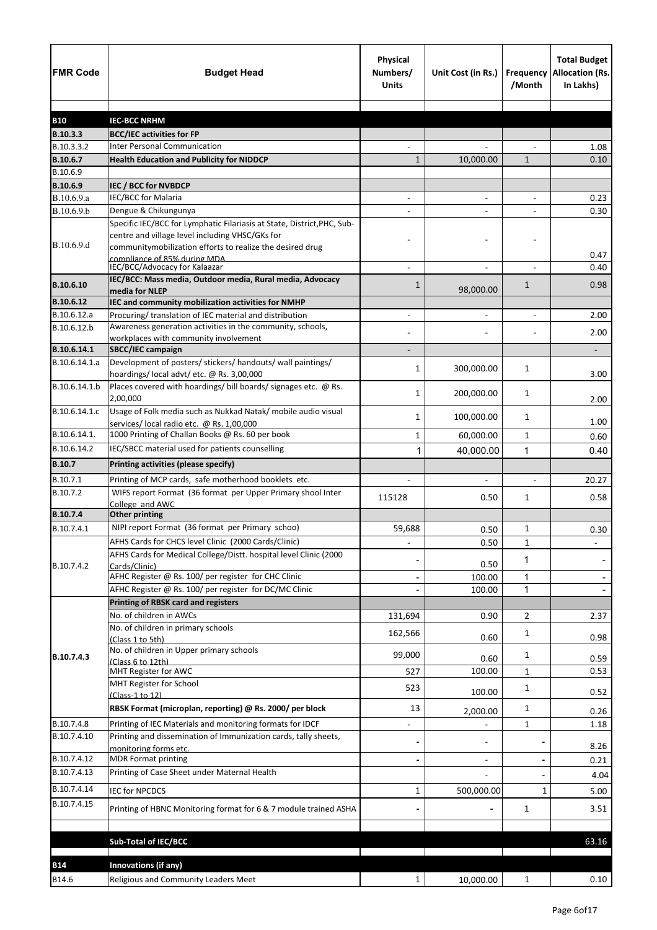| <b>FMR Code</b>           | <b>Budget Head</b>                                                                                                                                                                      | Physical<br>Numbers/<br><b>Units</b> | Unit Cost (in Rs.)       | Frequency<br>/Month | <b>Total Budget</b><br>Allocation (Rs.<br>In Lakhs) |
|---------------------------|-----------------------------------------------------------------------------------------------------------------------------------------------------------------------------------------|--------------------------------------|--------------------------|---------------------|-----------------------------------------------------|
|                           |                                                                                                                                                                                         |                                      |                          |                     |                                                     |
| <b>B10</b>                | <b>IEC-BCC NRHM</b>                                                                                                                                                                     |                                      |                          |                     |                                                     |
| B.10.3.3<br>B.10.3.3.2    | <b>BCC/IEC activities for FP</b><br><b>Inter Personal Communication</b>                                                                                                                 |                                      |                          |                     | 1.08                                                |
| B.10.6.7                  | <b>Health Education and Publicity for NIDDCP</b>                                                                                                                                        | $\mathbf{1}$                         | 10,000.00                | $\mathbf{1}$        | 0.10                                                |
| B.10.6.9                  |                                                                                                                                                                                         |                                      |                          |                     |                                                     |
| B.10.6.9                  | <b>IEC / BCC for NVBDCP</b>                                                                                                                                                             |                                      |                          |                     |                                                     |
| B.10.6.9.a                | <b>IEC/BCC for Malaria</b>                                                                                                                                                              | $\overline{\phantom{a}}$             | $\overline{\phantom{a}}$ | $\blacksquare$      | 0.23                                                |
| B.10.6.9.b                | Dengue & Chikungunya                                                                                                                                                                    |                                      |                          |                     | 0.30                                                |
| B.10.6.9.d                | Specific IEC/BCC for Lymphatic Filariasis at State, District, PHC, Sub-<br>centre and village level including VHSC/GKs for<br>communitymobilization efforts to realize the desired drug |                                      |                          |                     |                                                     |
|                           | compliance of 85% during MDA                                                                                                                                                            |                                      |                          |                     | 0.47                                                |
| B.10.6.10                 | IEC/BCC/Advocacy for Kalaazar<br>IEC/BCC: Mass media, Outdoor media, Rural media, Advocacy<br>media for NLEP                                                                            | 1                                    | 98,000.00                | $\mathbf{1}$        | 0.40<br>0.98                                        |
| B.10.6.12                 | IEC and community mobilization activities for NMHP                                                                                                                                      |                                      |                          |                     |                                                     |
| B.10.6.12.a               | Procuring/ translation of IEC material and distribution                                                                                                                                 |                                      |                          |                     | 2.00                                                |
| B.10.6.12.b               | Awareness generation activities in the community, schools,                                                                                                                              |                                      |                          |                     |                                                     |
|                           | workplaces with community involvement                                                                                                                                                   |                                      |                          |                     | 2.00                                                |
| B.10.6.14.1               | SBCC/IEC campaign                                                                                                                                                                       |                                      |                          |                     |                                                     |
| B.10.6.14.1.a             | Development of posters/ stickers/ handouts/ wall paintings/<br>hoardings/local advt/etc. @ Rs. 3,00,000                                                                                 | 1                                    | 300,000.00               | 1                   | 3.00                                                |
| B.10.6.14.1.b             | Places covered with hoardings/ bill boards/ signages etc. @ Rs.<br>2,00,000                                                                                                             | 1                                    | 200,000.00               | 1                   | 2.00                                                |
| B.10.6.14.1.c             | Usage of Folk media such as Nukkad Natak/ mobile audio visual<br>services/ local radio etc. @ Rs. 1,00,000                                                                              | 1                                    | 100,000.00               | 1                   | 1.00                                                |
| B.10.6.14.1.              | 1000 Printing of Challan Books @ Rs. 60 per book                                                                                                                                        | 1                                    | 60,000.00                | $\mathbf{1}$        | 0.60                                                |
| B.10.6.14.2               | IEC/SBCC material used for patients counselling                                                                                                                                         | 1                                    | 40,000.00                | 1                   | 0.40                                                |
| <b>B.10.7</b>             | Printing activities (please specify)                                                                                                                                                    |                                      |                          |                     |                                                     |
| B.10.7.1                  | Printing of MCP cards, safe motherhood booklets etc.                                                                                                                                    |                                      | $\blacksquare$           | $\blacksquare$      | 20.27                                               |
| B.10.7.2                  | WIFS report Format (36 format per Upper Primary shool Inter<br>College and AWC                                                                                                          | 115128                               | 0.50                     | 1                   | 0.58                                                |
| B.10.7.4                  | <b>Other printing</b>                                                                                                                                                                   |                                      |                          |                     |                                                     |
| B.10.7.4.1                | NIPI report Format (36 format per Primary schoo)                                                                                                                                        | 59,688                               | 0.50                     | 1                   | 0.30                                                |
|                           | AFHS Cards for CHCS level Clinic (2000 Cards/Clinic)                                                                                                                                    |                                      | 0.50                     | $\mathbf{1}$        |                                                     |
|                           | AFHS Cards for Medical College/Distt. hospital level Clinic (2000                                                                                                                       |                                      |                          | 1                   |                                                     |
| B.10.7.4.2                | Cards/Clinic)<br>AFHC Register @ Rs. 100/ per register for CHC Clinic                                                                                                                   |                                      | 0.50<br>100.00           | $\mathbf{1}$        |                                                     |
|                           | AFHC Register @ Rs. 100/ per register for DC/MC Clinic                                                                                                                                  |                                      | 100.00                   | 1                   |                                                     |
|                           | <b>Printing of RBSK card and registers</b>                                                                                                                                              |                                      |                          |                     |                                                     |
|                           | No. of children in AWCs                                                                                                                                                                 | 131,694                              | 0.90                     | $\overline{2}$      | 2.37                                                |
|                           | No. of children in primary schools<br>(Class 1 to 5th)                                                                                                                                  | 162,566                              | 0.60                     | 1                   | 0.98                                                |
| B.10.7.4.3                | No. of children in Upper primary schools<br>(Class 6 to 12th)                                                                                                                           | 99,000                               | 0.60                     | 1                   | 0.59                                                |
|                           | MHT Register for AWC                                                                                                                                                                    | 527                                  | 100.00                   | $\mathbf{1}$        | 0.53                                                |
|                           | MHT Register for School<br>(Class-1 to 12)                                                                                                                                              | 523                                  | 100.00                   | 1                   | 0.52                                                |
|                           | RBSK Format (microplan, reporting) @ Rs. 2000/ per block                                                                                                                                | 13                                   | 2,000.00                 | 1                   | 0.26                                                |
| B.10.7.4.8<br>B.10.7.4.10 | Printing of IEC Materials and monitoring formats for IDCF<br>Printing and dissemination of Immunization cards, tally sheets,                                                            |                                      |                          | 1                   | 1.18                                                |
|                           | monitoring forms etc.                                                                                                                                                                   |                                      |                          |                     | 8.26                                                |
| B.10.7.4.12               | <b>MDR Format printing</b>                                                                                                                                                              |                                      | $\blacksquare$           |                     | 0.21                                                |
| B.10.7.4.13               | Printing of Case Sheet under Maternal Health                                                                                                                                            |                                      |                          |                     | 4.04                                                |
| B.10.7.4.14               | <b>IEC for NPCDCS</b>                                                                                                                                                                   | 1                                    | 500,000.00               | 1                   | 5.00                                                |
| B.10.7.4.15               | Printing of HBNC Monitoring format for 6 & 7 module trained ASHA                                                                                                                        |                                      |                          | $\mathbf{1}$        | 3.51                                                |
|                           |                                                                                                                                                                                         |                                      |                          |                     |                                                     |
|                           | <b>Sub-Total of IEC/BCC</b>                                                                                                                                                             |                                      |                          |                     | 63.16                                               |
| <b>B14</b>                | Innovations (if any)                                                                                                                                                                    |                                      |                          |                     |                                                     |
| B14.6                     | Religious and Community Leaders Meet                                                                                                                                                    | $\mathbf{1}$                         | 10,000.00                | $\mathbf{1}$        | 0.10                                                |
|                           |                                                                                                                                                                                         |                                      |                          |                     |                                                     |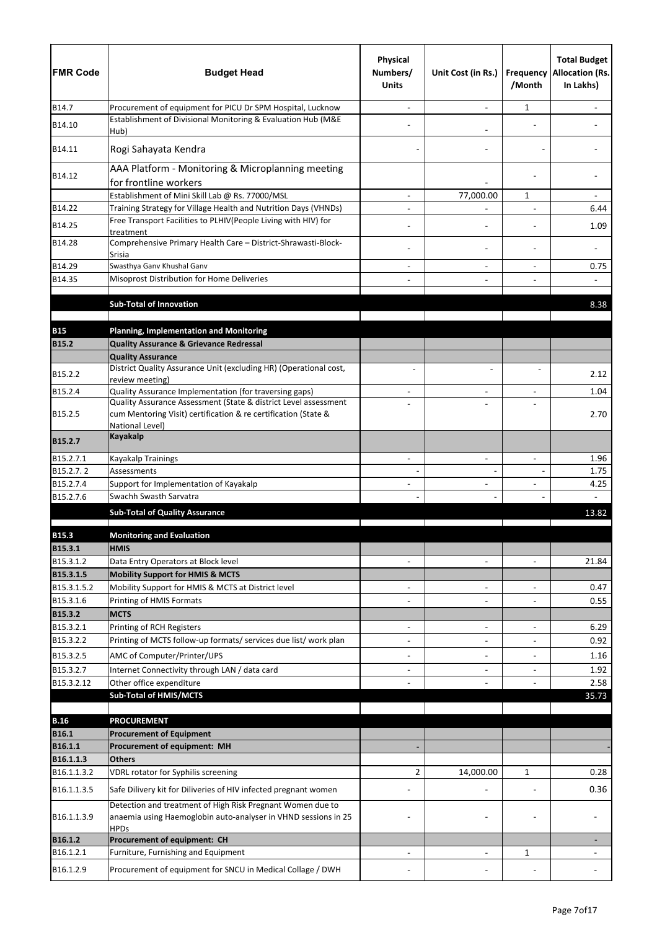| <b>FMR Code</b>          | <b>Budget Head</b>                                                                                                           | <b>Physical</b><br>Numbers/<br><b>Units</b> | Unit Cost (in Rs.)                         | /Month                         | <b>Total Budget</b><br>Frequency Allocation (Rs.<br>In Lakhs) |
|--------------------------|------------------------------------------------------------------------------------------------------------------------------|---------------------------------------------|--------------------------------------------|--------------------------------|---------------------------------------------------------------|
| B14.7                    | Procurement of equipment for PICU Dr SPM Hospital, Lucknow                                                                   |                                             |                                            | 1                              |                                                               |
| B14.10                   | Establishment of Divisional Monitoring & Evaluation Hub (M&E<br>Hub)                                                         |                                             |                                            |                                |                                                               |
| B14.11                   | Rogi Sahayata Kendra                                                                                                         |                                             |                                            |                                |                                                               |
| B14.12                   | AAA Platform - Monitoring & Microplanning meeting<br>for frontline workers                                                   |                                             |                                            |                                |                                                               |
|                          | Establishment of Mini Skill Lab @ Rs. 77000/MSL                                                                              |                                             | 77,000.00                                  | 1                              |                                                               |
| B14.22                   | Training Strategy for Village Health and Nutrition Days (VHNDs)                                                              | $\blacksquare$                              |                                            | $\overline{a}$                 | 6.44                                                          |
| B14.25                   | Free Transport Facilities to PLHIV(People Living with HIV) for<br>treatment                                                  |                                             |                                            |                                | 1.09                                                          |
| B14.28                   | Comprehensive Primary Health Care - District-Shrawasti-Block-<br>Srisia                                                      |                                             |                                            |                                |                                                               |
| B14.29                   | Swasthya Ganv Khushal Ganv                                                                                                   |                                             |                                            |                                | 0.75                                                          |
| B14.35                   | Misoprost Distribution for Home Deliveries                                                                                   |                                             |                                            |                                |                                                               |
|                          | <b>Sub-Total of Innovation</b>                                                                                               |                                             |                                            |                                |                                                               |
|                          |                                                                                                                              |                                             |                                            |                                | 8.38                                                          |
| <b>B15</b>               | <b>Planning, Implementation and Monitoring</b>                                                                               |                                             |                                            |                                |                                                               |
| <b>B15.2</b>             | <b>Quality Assurance &amp; Grievance Redressal</b>                                                                           |                                             |                                            |                                |                                                               |
|                          | <b>Quality Assurance</b>                                                                                                     |                                             |                                            |                                |                                                               |
| B15.2.2                  | District Quality Assurance Unit (excluding HR) (Operational cost,                                                            |                                             |                                            |                                | 2.12                                                          |
| B15.2.4                  | review meeting)<br>Quality Assurance Implementation (for traversing gaps)                                                    |                                             |                                            |                                | 1.04                                                          |
|                          | Quality Assurance Assessment (State & district Level assessment                                                              |                                             |                                            | L,                             |                                                               |
| B15.2.5                  | cum Mentoring Visit) certification & re certification (State &<br>National Level)                                            |                                             |                                            |                                | 2.70                                                          |
| B15.2.7                  | <b>Kayakalp</b>                                                                                                              |                                             |                                            |                                |                                                               |
| B15.2.7.1                | Kayakalp Trainings                                                                                                           | $\blacksquare$                              | $\overline{a}$                             | $\overline{a}$                 | 1.96                                                          |
| B15.2.7.2                | Assessments                                                                                                                  |                                             |                                            |                                | 1.75                                                          |
| B15.2.7.4<br>B15.2.7.6   | Support for Implementation of Kayakalp<br>Swachh Swasth Sarvatra                                                             |                                             |                                            |                                | 4.25                                                          |
|                          | <b>Sub-Total of Quality Assurance</b>                                                                                        |                                             |                                            |                                | 13.82                                                         |
|                          |                                                                                                                              |                                             |                                            |                                |                                                               |
| <b>B15.3</b>             | <b>Monitoring and Evaluation</b>                                                                                             |                                             |                                            |                                |                                                               |
| B15.3.1                  | <b>HMIS</b>                                                                                                                  |                                             |                                            |                                |                                                               |
| B15.3.1.2                | Data Entry Operators at Block level                                                                                          | $\blacksquare$                              | $\blacksquare$                             | $\sim$                         | 21.84                                                         |
| B15.3.1.5<br>B15.3.1.5.2 | <b>Mobility Support for HMIS &amp; MCTS</b><br>Mobility Support for HMIS & MCTS at District level                            |                                             |                                            |                                | 0.47                                                          |
| B15.3.1.6                | Printing of HMIS Formats                                                                                                     |                                             | $\overline{\phantom{a}}$<br>$\blacksquare$ | $\overline{\phantom{a}}$<br>÷, | 0.55                                                          |
| B15.3.2                  | <b>MCTS</b>                                                                                                                  |                                             |                                            |                                |                                                               |
| B15.3.2.1                | Printing of RCH Registers                                                                                                    | -                                           | $\blacksquare$                             | $\blacksquare$                 | 6.29                                                          |
| B15.3.2.2                | Printing of MCTS follow-up formats/ services due list/ work plan                                                             |                                             |                                            |                                | 0.92                                                          |
| B15.3.2.5                | AMC of Computer/Printer/UPS                                                                                                  | -                                           | $\overline{\phantom{a}}$                   | $\blacksquare$                 | 1.16                                                          |
| B15.3.2.7                | Internet Connectivity through LAN / data card                                                                                | $\overline{\phantom{0}}$                    | $\blacksquare$                             | $\blacksquare$                 | 1.92                                                          |
| B15.3.2.12               | Other office expenditure                                                                                                     |                                             |                                            |                                | 2.58                                                          |
|                          | <b>Sub-Total of HMIS/MCTS</b>                                                                                                |                                             |                                            |                                | 35.73                                                         |
| <b>B.16</b>              | <b>PROCUREMENT</b>                                                                                                           |                                             |                                            |                                |                                                               |
| <b>B16.1</b>             | <b>Procurement of Equipment</b>                                                                                              |                                             |                                            |                                |                                                               |
| B16.1.1                  | Procurement of equipment: MH                                                                                                 |                                             |                                            |                                |                                                               |
| B16.1.1.3                | <b>Others</b>                                                                                                                |                                             |                                            |                                |                                                               |
| B16.1.1.3.2              | VDRL rotator for Syphilis screening                                                                                          | $\overline{2}$                              | 14,000.00                                  | 1                              | 0.28                                                          |
| B16.1.1.3.5              | Safe Dilivery kit for Diliveries of HIV infected pregnant women                                                              |                                             |                                            |                                | 0.36                                                          |
| B16.1.1.3.9              | Detection and treatment of High Risk Pregnant Women due to<br>anaemia using Haemoglobin auto-analyser in VHND sessions in 25 |                                             |                                            |                                |                                                               |
| B16.1.2                  | <b>HPDs</b>                                                                                                                  |                                             |                                            |                                |                                                               |
| B16.1.2.1                | Procurement of equipment: CH<br>Furniture, Furnishing and Equipment                                                          |                                             | $\blacksquare$                             | 1                              |                                                               |
| B16.1.2.9                | Procurement of equipment for SNCU in Medical Collage / DWH                                                                   |                                             |                                            |                                |                                                               |
|                          |                                                                                                                              |                                             |                                            |                                |                                                               |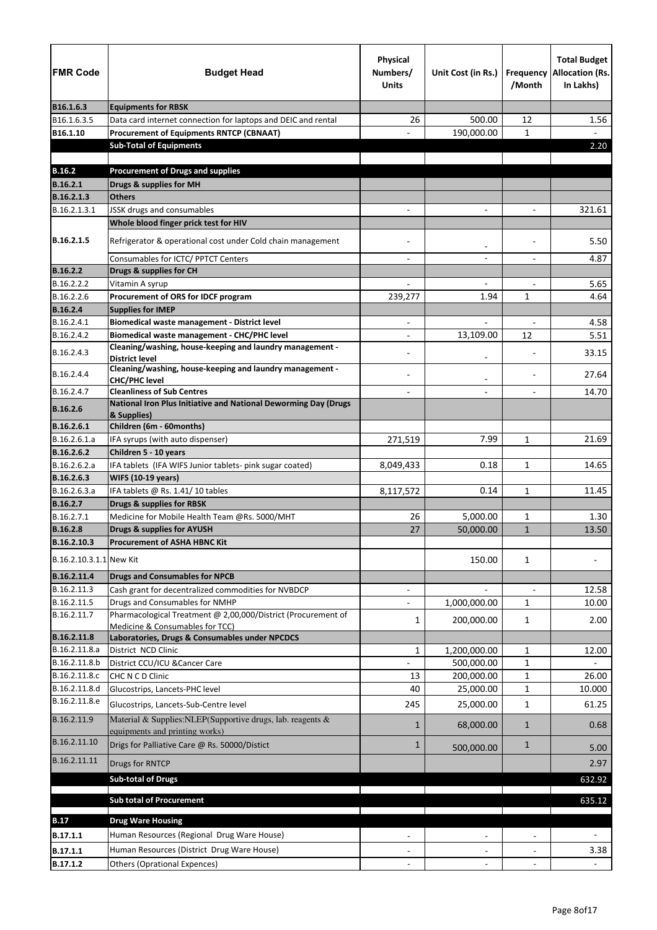| <b>FMR Code</b>         | <b>Budget Head</b>                                                                                      | <b>Physical</b><br>Numbers/<br><b>Units</b> | Unit Cost (in Rs.)       | Frequency<br>/Month      | <b>Total Budget</b><br><b>Allocation (Rs.</b><br>In Lakhs) |
|-------------------------|---------------------------------------------------------------------------------------------------------|---------------------------------------------|--------------------------|--------------------------|------------------------------------------------------------|
| B16.1.6.3               | <b>Equipments for RBSK</b>                                                                              |                                             |                          |                          |                                                            |
| B16.1.6.3.5             | Data card internet connection for laptops and DEIC and rental                                           | 26                                          | 500.00                   | 12                       | 1.56                                                       |
| B16.1.10                | <b>Procurement of Equipments RNTCP (CBNAAT)</b>                                                         |                                             | 190,000.00               | $\mathbf{1}$             |                                                            |
|                         | <b>Sub-Total of Equipments</b>                                                                          |                                             |                          |                          | 2.20                                                       |
|                         |                                                                                                         |                                             |                          |                          |                                                            |
| <b>B.16.2</b>           | <b>Procurement of Drugs and supplies</b>                                                                |                                             |                          |                          |                                                            |
| <b>B.16.2.1</b>         | Drugs & supplies for MH                                                                                 |                                             |                          |                          |                                                            |
| B.16.2.1.3              | <b>Others</b>                                                                                           |                                             |                          |                          |                                                            |
| B.16.2.1.3.1            | JSSK drugs and consumables                                                                              |                                             |                          |                          | 321.61                                                     |
|                         | Whole blood finger prick test for HIV                                                                   |                                             |                          |                          |                                                            |
| B.16.2.1.5              | Refrigerator & operational cost under Cold chain management                                             |                                             | $\overline{\phantom{a}}$ |                          | 5.50                                                       |
|                         | Consumables for ICTC/ PPTCT Centers                                                                     |                                             |                          |                          | 4.87                                                       |
| <b>B.16.2.2</b>         | Drugs & supplies for CH                                                                                 |                                             |                          |                          |                                                            |
| B.16.2.2.2              | Vitamin A syrup                                                                                         |                                             | $\overline{\phantom{0}}$ |                          | 5.65                                                       |
| B.16.2.2.6              | Procurement of ORS for IDCF program                                                                     | 239,277                                     | 1.94                     | $\mathbf{1}$             | 4.64                                                       |
| <b>B.16.2.4</b>         | <b>Supplies for IMEP</b>                                                                                |                                             |                          |                          |                                                            |
| B.16.2.4.1              | Biomedical waste management - District level                                                            | $\overline{\phantom{a}}$                    | $\overline{\phantom{0}}$ | $\overline{\phantom{a}}$ | 4.58                                                       |
| B.16.2.4.2              | Biomedical waste management - CHC/PHC level<br>Cleaning/washing, house-keeping and laundry management - |                                             | 13,109.00                | 12                       | 5.51                                                       |
| B.16.2.4.3              | <b>District level</b>                                                                                   |                                             |                          |                          | 33.15                                                      |
| B.16.2.4.4              | Cleaning/washing, house-keeping and laundry management -<br><b>CHC/PHC level</b>                        |                                             |                          |                          | 27.64                                                      |
| B.16.2.4.7              | <b>Cleanliness of Sub Centres</b>                                                                       |                                             |                          |                          | 14.70                                                      |
| <b>B.16.2.6</b>         | National Iron Plus Initiative and National Deworming Day (Drugs<br>& Supplies)                          |                                             |                          |                          |                                                            |
| B.16.2.6.1              | Children (6m - 60months)                                                                                |                                             |                          |                          |                                                            |
| B.16.2.6.1.a            | IFA syrups (with auto dispenser)                                                                        | 271,519                                     | 7.99                     | $\mathbf{1}$             | 21.69                                                      |
| B.16.2.6.2              | Children 5 - 10 years                                                                                   |                                             |                          |                          |                                                            |
| B.16.2.6.2.a            | IFA tablets (IFA WIFS Junior tablets- pink sugar coated)                                                | 8,049,433                                   | 0.18                     | $\mathbf{1}$             | 14.65                                                      |
| B.16.2.6.3              | <b>WIFS (10-19 years)</b>                                                                               |                                             |                          |                          |                                                            |
| B.16.2.6.3.a            | IFA tablets @ Rs. 1.41/10 tables                                                                        | 8,117,572                                   | 0.14                     | 1                        | 11.45                                                      |
| <b>B.16.2.7</b>         | <b>Drugs &amp; supplies for RBSK</b>                                                                    |                                             |                          |                          |                                                            |
| B.16.2.7.1              | Medicine for Mobile Health Team @Rs. 5000/MHT                                                           | 26                                          | 5,000.00                 | 1                        | 1.30                                                       |
| <b>B.16.2.8</b>         | <b>Drugs &amp; supplies for AYUSH</b>                                                                   | 27                                          | 50,000.00                | $\mathbf{1}$             | 13.50                                                      |
| B.16.2.10.3             | <b>Procurement of ASHA HBNC Kit</b>                                                                     |                                             |                          |                          |                                                            |
| B.16.2.10.3.1.1 New Kit |                                                                                                         |                                             | 150.00                   | $\mathbf{1}$             |                                                            |
| B.16.2.11.4             | <b>Drugs and Consumables for NPCB</b>                                                                   |                                             |                          |                          |                                                            |
| B.16.2.11.3             | Cash grant for decentralized commodities for NVBDCP                                                     |                                             |                          | $\overline{a}$           | 12.58                                                      |
| B.16.2.11.5             | Drugs and Consumables for NMHP                                                                          |                                             | 1,000,000.00             | $\mathbf{1}$             | 10.00                                                      |
| B.16.2.11.7             | Pharmacological Treatment @ 2,00,000/District (Procurement of                                           | 1                                           | 200,000.00               | $\mathbf{1}$             | 2.00                                                       |
| B.16.2.11.8             | Medicine & Consumables for TCC)<br>Laboratories, Drugs & Consumables under NPCDCS                       |                                             |                          |                          |                                                            |
| B.16.2.11.8.a           | District NCD Clinic                                                                                     | $\mathbf{1}$                                | 1,200,000.00             | $\mathbf{1}$             | 12.00                                                      |
| B.16.2.11.8.b           | District CCU/ICU & Cancer Care                                                                          |                                             | 500,000.00               | $\mathbf{1}$             |                                                            |
| B.16.2.11.8.c           | CHC N C D Clinic                                                                                        | 13                                          | 200,000.00               | 1                        | 26.00                                                      |
| B.16.2.11.8.d           | Glucostrips, Lancets-PHC level                                                                          | 40                                          | 25,000.00                | 1                        | 10.000                                                     |
| B.16.2.11.8.e           | Glucostrips, Lancets-Sub-Centre level                                                                   | 245                                         | 25,000.00                | $\mathbf{1}$             | 61.25                                                      |
| B.16.2.11.9             | Material & Supplies: NLEP(Supportive drugs, lab. reagents &                                             | 1                                           | 68,000.00                | $\mathbf{1}$             | 0.68                                                       |
| B.16.2.11.10            | equipments and printing works)<br>Drigs for Palliative Care @ Rs. 50000/Distict                         | $\mathbf{1}$                                | 500,000.00               | $\mathbf{1}$             | 5.00                                                       |
| B.16.2.11.11            | Drugs for RNTCP                                                                                         |                                             |                          |                          | 2.97                                                       |
|                         | <b>Sub-total of Drugs</b>                                                                               |                                             |                          |                          | 632.92                                                     |
|                         | <b>Sub total of Procurement</b>                                                                         |                                             |                          |                          | 635.12                                                     |
|                         |                                                                                                         |                                             |                          |                          |                                                            |
| <b>B.17</b>             | <b>Drug Ware Housing</b>                                                                                |                                             |                          |                          |                                                            |
| B.17.1.1                | Human Resources (Regional Drug Ware House)                                                              |                                             |                          |                          |                                                            |
| B.17.1.1                | Human Resources (District Drug Ware House)                                                              |                                             |                          |                          | 3.38                                                       |
| B.17.1.2                | <b>Others (Oprational Expences)</b>                                                                     |                                             |                          |                          |                                                            |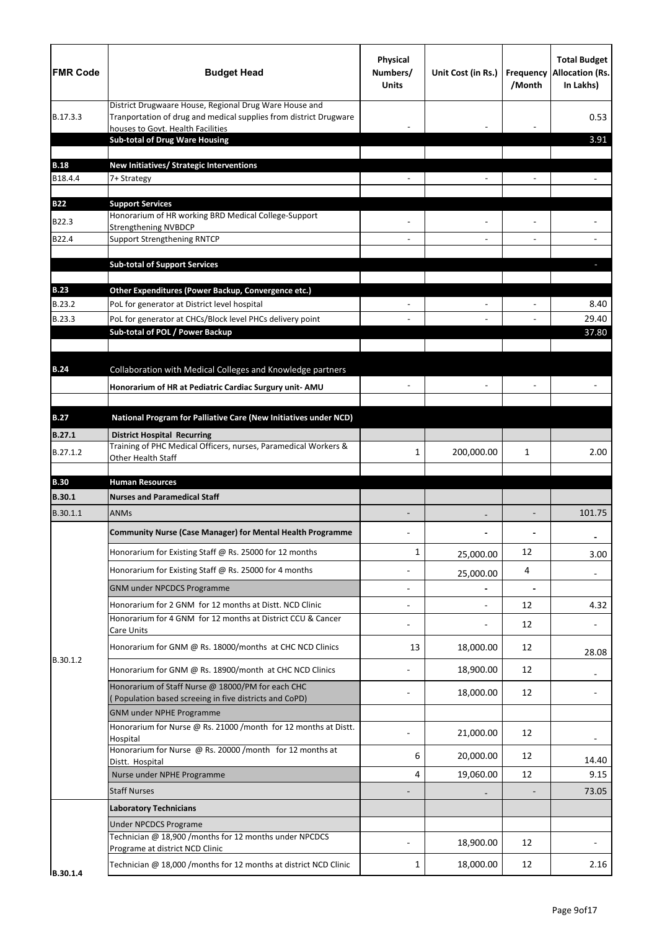| Physical<br><b>FMR Code</b><br><b>Budget Head</b><br>Numbers/<br><b>Units</b>                                                                                                | Unit Cost (in Rs.) | <b>Frequency</b><br>/Month | <b>Total Budget</b><br><b>Allocation (Rs.</b><br>In Lakhs) |
|------------------------------------------------------------------------------------------------------------------------------------------------------------------------------|--------------------|----------------------------|------------------------------------------------------------|
| District Drugwaare House, Regional Drug Ware House and<br>Tranportation of drug and medical supplies from district Drugware<br>B.17.3.3<br>houses to Govt. Health Facilities |                    |                            | 0.53                                                       |
| <b>Sub-total of Drug Ware Housing</b>                                                                                                                                        |                    |                            | 3.91                                                       |
| <b>B.18</b><br>New Initiatives/ Strategic Interventions                                                                                                                      |                    |                            |                                                            |
| B18.4.4<br>7+ Strategy                                                                                                                                                       |                    |                            |                                                            |
|                                                                                                                                                                              |                    |                            |                                                            |
| <b>B22</b><br><b>Support Services</b><br>Honorarium of HR working BRD Medical College-Support                                                                                |                    |                            |                                                            |
| B22.3<br><b>Strengthening NVBDCP</b>                                                                                                                                         |                    |                            |                                                            |
| B22.4<br><b>Support Strengthening RNTCP</b>                                                                                                                                  |                    |                            |                                                            |
| <b>Sub-total of Support Services</b>                                                                                                                                         |                    |                            |                                                            |
|                                                                                                                                                                              |                    |                            |                                                            |
| <b>B.23</b><br>Other Expenditures (Power Backup, Convergence etc.)<br>B.23.2<br>PoL for generator at District level hospital                                                 |                    |                            | 8.40                                                       |
| B.23.3<br>PoL for generator at CHCs/Block level PHCs delivery point                                                                                                          |                    |                            | 29.40                                                      |
| Sub-total of POL / Power Backup                                                                                                                                              |                    |                            | 37.80                                                      |
|                                                                                                                                                                              |                    |                            |                                                            |
| Collaboration with Medical Colleges and Knowledge partners<br><b>B.24</b>                                                                                                    |                    |                            |                                                            |
| Honorarium of HR at Pediatric Cardiac Surgury unit- AMU                                                                                                                      |                    |                            |                                                            |
|                                                                                                                                                                              |                    |                            |                                                            |
| National Program for Palliative Care (New Initiatives under NCD)<br><b>B.27</b>                                                                                              |                    |                            |                                                            |
| <b>B.27.1</b><br><b>District Hospital Recurring</b><br>Training of PHC Medical Officers, nurses, Paramedical Workers &                                                       |                    |                            |                                                            |
| B.27.1.2<br>1<br>Other Health Staff                                                                                                                                          | 200,000.00         | 1                          | 2.00                                                       |
| <b>B.30</b><br><b>Human Resources</b>                                                                                                                                        |                    |                            |                                                            |
| <b>B.30.1</b><br><b>Nurses and Paramedical Staff</b>                                                                                                                         |                    |                            |                                                            |
| B.30.1.1<br><b>ANMs</b>                                                                                                                                                      |                    |                            | 101.75                                                     |
| <b>Community Nurse (Case Manager) for Mental Health Programme</b>                                                                                                            |                    |                            |                                                            |
| Honorarium for Existing Staff @ Rs. 25000 for 12 months<br>$\mathbf{1}$                                                                                                      | 25,000.00          | 12                         | 3.00                                                       |
| Honorarium for Existing Staff @ Rs. 25000 for 4 months                                                                                                                       | 25,000.00          | 4                          | $\overline{\phantom{a}}$                                   |
| <b>GNM under NPCDCS Programme</b>                                                                                                                                            |                    |                            |                                                            |
| Honorarium for 2 GNM for 12 months at Distt. NCD Clinic                                                                                                                      |                    | 12                         | 4.32                                                       |
| Honorarium for 4 GNM for 12 months at District CCU & Cancer<br>Care Units                                                                                                    |                    | 12                         |                                                            |
| 13<br>Honorarium for GNM @ Rs. 18000/months at CHC NCD Clinics                                                                                                               | 18,000.00          | 12                         | 28.08                                                      |
| B.30.1.2<br>Honorarium for GNM @ Rs. 18900/month at CHC NCD Clinics                                                                                                          | 18,900.00          | 12                         |                                                            |
| Honorarium of Staff Nurse @ 18000/PM for each CHC<br>(Population based screeing in five districts and CoPD)                                                                  | 18,000.00          | 12                         |                                                            |
| <b>GNM under NPHE Programme</b>                                                                                                                                              |                    |                            |                                                            |
| Honorarium for Nurse @ Rs. 21000 /month for 12 months at Distt.                                                                                                              | 21,000.00          | 12                         |                                                            |
| Hospital                                                                                                                                                                     |                    |                            |                                                            |
| Honorarium for Nurse @ Rs. 20000 /month for 12 months at                                                                                                                     | 20,000.00          | 12                         | 14.40                                                      |
| 6<br>Distt. Hospital                                                                                                                                                         |                    |                            |                                                            |
| Nurse under NPHE Programme<br>4                                                                                                                                              | 19,060.00          | 12                         | 9.15                                                       |
| <b>Staff Nurses</b>                                                                                                                                                          |                    |                            | 73.05                                                      |
| <b>Laboratory Technicians</b>                                                                                                                                                |                    |                            |                                                            |
| <b>Under NPCDCS Programe</b>                                                                                                                                                 |                    |                            |                                                            |
| Technician @ 18,900 /months for 12 months under NPCDCS<br>Programe at district NCD Clinic                                                                                    | 18,900.00          | 12                         |                                                            |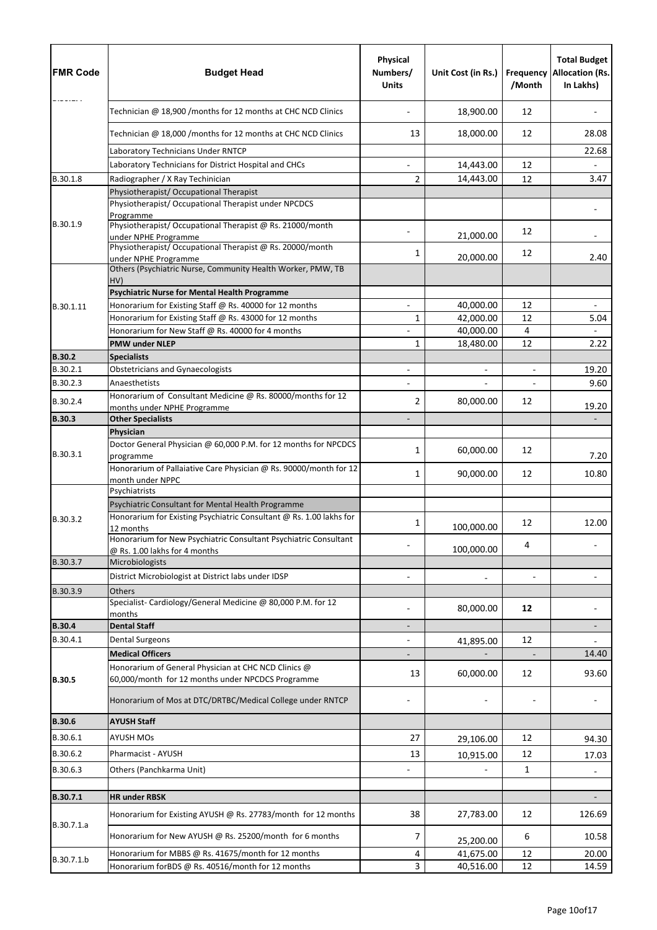| <b>FMR Code</b>      | <b>Budget Head</b>                                                                                        | Physical<br>Numbers/<br><b>Units</b> | Unit Cost (in Rs.) | Frequency<br>/Month      | <b>Total Budget</b><br><b>Allocation (Rs.</b><br>In Lakhs) |
|----------------------|-----------------------------------------------------------------------------------------------------------|--------------------------------------|--------------------|--------------------------|------------------------------------------------------------|
|                      | Technician @ 18,900 /months for 12 months at CHC NCD Clinics                                              |                                      | 18,900.00          | 12                       |                                                            |
|                      | Technician @ 18,000 /months for 12 months at CHC NCD Clinics                                              | 13                                   | 18,000.00          | 12                       | 28.08                                                      |
|                      | Laboratory Technicians Under RNTCP                                                                        |                                      |                    |                          | 22.68                                                      |
|                      | Laboratory Technicians for District Hospital and CHCs                                                     | $\blacksquare$                       | 14,443.00          | 12                       |                                                            |
| B.30.1.8             | Radiographer / X Ray Techinician                                                                          | 2                                    | 14,443.00          | 12                       | 3.47                                                       |
|                      | Physiotherapist/ Occupational Therapist                                                                   |                                      |                    |                          |                                                            |
|                      | Physiotherapist/ Occupational Therapist under NPCDCS<br>Programme                                         |                                      |                    |                          |                                                            |
| B.30.1.9             | Physiotherapist/ Occupational Therapist @ Rs. 21000/month<br>under NPHE Programme                         |                                      | 21,000.00          | 12                       |                                                            |
|                      | Physiotherapist/ Occupational Therapist @ Rs. 20000/month                                                 | 1                                    | 20,000.00          | 12                       | 2.40                                                       |
|                      | under NPHE Programme<br>Others (Psychiatric Nurse, Community Health Worker, PMW, TB<br>HV)                |                                      |                    |                          |                                                            |
|                      | <b>Psychiatric Nurse for Mental Health Programme</b>                                                      |                                      |                    |                          |                                                            |
| B.30.1.11            | Honorarium for Existing Staff @ Rs. 40000 for 12 months                                                   |                                      | 40,000.00          | 12                       |                                                            |
|                      | Honorarium for Existing Staff @ Rs. 43000 for 12 months                                                   | 1                                    | 42,000.00          | 12                       | 5.04                                                       |
|                      | Honorarium for New Staff @ Rs. 40000 for 4 months                                                         |                                      | 40,000.00          | $\overline{4}$           |                                                            |
|                      | <b>PMW under NLEP</b>                                                                                     | 1                                    | 18,480.00          | 12                       | 2.22                                                       |
| <b>B.30.2</b>        | <b>Specialists</b>                                                                                        |                                      |                    |                          |                                                            |
| B.30.2.1             | <b>Obstetricians and Gynaecologists</b>                                                                   |                                      |                    | $\overline{\phantom{a}}$ | 19.20                                                      |
| B.30.2.3             | Anaesthetists<br>Honorarium of Consultant Medicine @ Rs. 80000/months for 12                              |                                      |                    |                          | 9.60                                                       |
| B.30.2.4             | months under NPHE Programme                                                                               | 2                                    | 80,000.00          | 12                       | 19.20                                                      |
| <b>B.30.3</b>        | <b>Other Specialists</b>                                                                                  |                                      |                    |                          |                                                            |
|                      | Physician                                                                                                 |                                      |                    |                          |                                                            |
| B.30.3.1             | Doctor General Physician @ 60,000 P.M. for 12 months for NPCDCS<br>programme                              | $1\vert$                             | 60,000.00          | 12                       | 7.20                                                       |
|                      | Honorarium of Pallaiative Care Physician @ Rs. 90000/month for 12<br>month under NPPC                     | 1                                    | 90,000.00          | 12                       | 10.80                                                      |
|                      | Psychiatrists                                                                                             |                                      |                    |                          |                                                            |
|                      | Psychiatric Consultant for Mental Health Programme                                                        |                                      |                    |                          |                                                            |
| B.30.3.2             | Honorarium for Existing Psychiatric Consultant @ Rs. 1.00 lakhs for<br>12 months                          | 1                                    | 100,000.00         | 12                       | 12.00                                                      |
|                      | Honorarium for New Psychiatric Consultant Psychiatric Consultant                                          |                                      |                    | 4                        |                                                            |
|                      | @ Rs. 1.00 lakhs for 4 months                                                                             |                                      | 100,000.00         |                          |                                                            |
| B.30.3.7             | Microbiologists                                                                                           |                                      |                    |                          |                                                            |
|                      | District Microbiologist at District labs under IDSP                                                       |                                      |                    |                          |                                                            |
| B.30.3.9             | <b>Others</b><br>Specialist-Cardiology/General Medicine @ 80,000 P.M. for 12                              |                                      | 80,000.00          | 12                       |                                                            |
| <b>B.30.4</b>        | months<br><b>Dental Staff</b>                                                                             |                                      |                    |                          |                                                            |
| B.30.4.1             | <b>Dental Surgeons</b>                                                                                    |                                      |                    | 12                       |                                                            |
|                      | <b>Medical Officers</b>                                                                                   | $\overline{\phantom{a}}$             | 41,895.00          |                          | 14.40                                                      |
| <b>B.30.5</b>        | Honorarium of General Physician at CHC NCD Clinics @<br>60,000/month for 12 months under NPCDCS Programme | 13                                   | 60,000.00          | 12                       | 93.60                                                      |
|                      | Honorarium of Mos at DTC/DRTBC/Medical College under RNTCP                                                |                                      |                    |                          |                                                            |
| <b>B.30.6</b>        | <b>AYUSH Staff</b>                                                                                        |                                      |                    |                          |                                                            |
| B.30.6.1             | <b>AYUSH MOs</b>                                                                                          | 27                                   |                    | 12                       | 94.30                                                      |
|                      |                                                                                                           |                                      | 29,106.00          |                          |                                                            |
| B.30.6.2<br>B.30.6.3 | Pharmacist - AYUSH<br>Others (Panchkarma Unit)                                                            | 13                                   | 10,915.00          | 12<br>$\mathbf{1}$       | 17.03                                                      |
|                      |                                                                                                           |                                      |                    |                          |                                                            |
| B.30.7.1             | <b>HR under RBSK</b>                                                                                      |                                      |                    |                          |                                                            |
|                      | Honorarium for Existing AYUSH @ Rs. 27783/month for 12 months                                             | 38                                   | 27,783.00          | 12                       | 126.69                                                     |
| B.30.7.1.a           | Honorarium for New AYUSH @ Rs. 25200/month for 6 months                                                   | 7                                    | 25,200.00          | 6                        | 10.58                                                      |
|                      | Honorarium for MBBS @ Rs. 41675/month for 12 months                                                       | 4                                    | 41,675.00          | 12                       | 20.00                                                      |
| B.30.7.1.b           | Honorarium forBDS @ Rs. 40516/month for 12 months                                                         | 3                                    | 40,516.00          | 12                       | 14.59                                                      |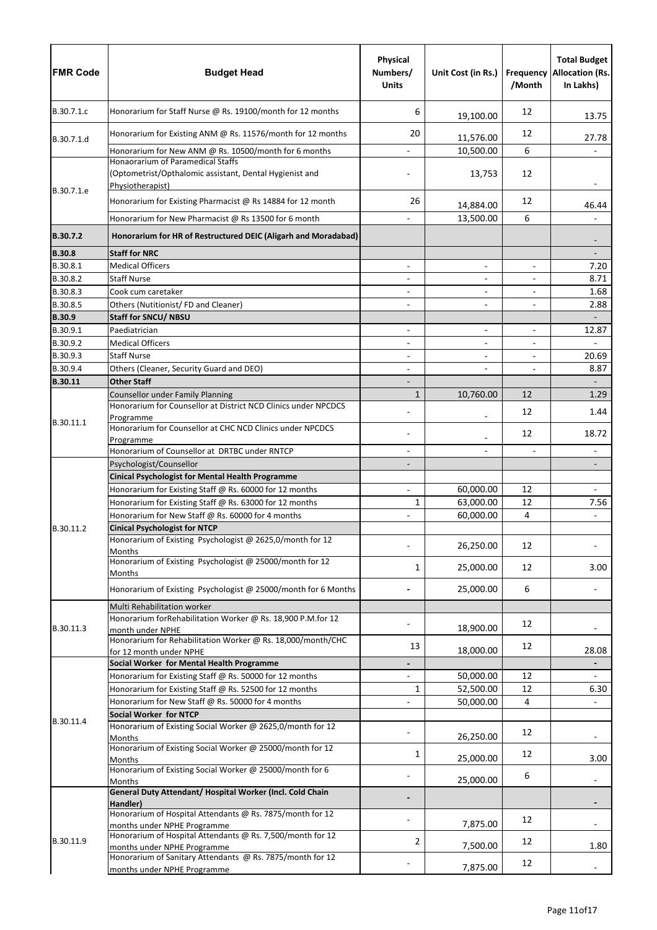| <b>FMR Code</b>      | <b>Budget Head</b>                                                                                               | <b>Physical</b><br>Numbers/<br><b>Units</b> | Unit Cost (in Rs.)       | <b>Frequency</b><br>/Month | <b>Total Budget</b><br><b>Allocation (Rs.</b><br>In Lakhs) |
|----------------------|------------------------------------------------------------------------------------------------------------------|---------------------------------------------|--------------------------|----------------------------|------------------------------------------------------------|
| B.30.7.1.c           | Honorarium for Staff Nurse @ Rs. 19100/month for 12 months                                                       | 6                                           | 19,100.00                | 12                         | 13.75                                                      |
| B.30.7.1.d           | Honorarium for Existing ANM @ Rs. 11576/month for 12 months                                                      | 20                                          | 11,576.00                | 12                         | 27.78                                                      |
|                      | Honorarium for New ANM @ Rs. 10500/month for 6 months                                                            |                                             | 10,500.00                | 6                          |                                                            |
| B.30.7.1.e           | Honaorarium of Paramedical Staffs<br>(Optometrist/Opthalomic assistant, Dental Hygienist and<br>Physiotherapist) |                                             | 13,753                   | 12                         |                                                            |
|                      | Honorarium for Existing Pharmacist @ Rs 14884 for 12 month                                                       | 26                                          | 14,884.00                | 12                         | 46.44                                                      |
|                      | Honorarium for New Pharmacist @ Rs 13500 for 6 month                                                             |                                             | 13,500.00                | 6                          |                                                            |
| B.30.7.2             | Honorarium for HR of Restructured DEIC (Aligarh and Moradabad)                                                   |                                             |                          |                            |                                                            |
| <b>B.30.8</b>        | <b>Staff for NRC</b>                                                                                             |                                             |                          |                            |                                                            |
| B.30.8.1             | <b>Medical Officers</b>                                                                                          |                                             | $\overline{\phantom{0}}$ | $\overline{\phantom{a}}$   | 7.20                                                       |
| B.30.8.2             | <b>Staff Nurse</b>                                                                                               | $\overline{\phantom{a}}$                    | -                        | $\overline{\phantom{a}}$   | 8.71                                                       |
| B.30.8.3             | Cook cum caretaker                                                                                               |                                             |                          |                            | 1.68                                                       |
| B.30.8.5             | Others (Nutitionist/FD and Cleaner)                                                                              |                                             | $\overline{\phantom{a}}$ | $\overline{\phantom{a}}$   | 2.88                                                       |
| <b>B.30.9</b>        | <b>Staff for SNCU/ NBSU</b>                                                                                      |                                             |                          |                            | $\overline{\phantom{a}}$                                   |
| B.30.9.1             | Paediatrician                                                                                                    |                                             | $\overline{\phantom{0}}$ | $\overline{\phantom{a}}$   | 12.87                                                      |
| B.30.9.2<br>B.30.9.3 | <b>Medical Officers</b><br><b>Staff Nurse</b>                                                                    |                                             | $\overline{\phantom{0}}$ | $\overline{\phantom{a}}$   | 20.69                                                      |
| B.30.9.4             | Others (Cleaner, Security Guard and DEO)                                                                         | $\overline{\phantom{a}}$                    |                          | $\overline{\phantom{a}}$   | 8.87                                                       |
| B.30.11              | <b>Other Staff</b>                                                                                               |                                             |                          |                            | $\overline{\phantom{a}}$                                   |
|                      | Counsellor under Family Planning                                                                                 | $\mathbf{1}$                                | 10,760.00                | 12                         | 1.29                                                       |
|                      | Honorarium for Counsellor at District NCD Clinics under NPCDCS                                                   |                                             |                          | 12                         | 1.44                                                       |
| B.30.11.1            | Programme<br>Honorarium for Counsellor at CHC NCD Clinics under NPCDCS                                           |                                             |                          | 12                         | 18.72                                                      |
|                      | Programme<br>Honorarium of Counsellor at DRTBC under RNTCP                                                       |                                             |                          |                            |                                                            |
|                      | Psychologist/Counsellor                                                                                          |                                             |                          |                            |                                                            |
|                      | <b>Cinical Psychologist for Mental Health Programme</b>                                                          |                                             |                          |                            |                                                            |
|                      | Honorarium for Existing Staff @ Rs. 60000 for 12 months                                                          |                                             | 60,000.00                | 12                         |                                                            |
|                      | Honorarium for Existing Staff @ Rs. 63000 for 12 months                                                          | 1                                           | 63,000.00                | 12                         | 7.56                                                       |
|                      | Honorarium for New Staff @ Rs. 60000 for 4 months                                                                |                                             | 60,000.00                | $\overline{4}$             |                                                            |
| B.30.11.2            | <b>Cinical Psychologist for NTCP</b>                                                                             |                                             |                          |                            |                                                            |
|                      | Honorarium of Existing Psychologist @ 2625,0/month for 12<br><b>Months</b>                                       |                                             | 26,250.00                | 12                         |                                                            |
|                      | Honorarium of Existing Psychologist @ 25000/month for 12<br>Months                                               | 1                                           | 25,000.00                | 12                         | 3.00                                                       |
|                      | Honorarium of Existing Psychologist @ 25000/month for 6 Months                                                   |                                             | 25,000.00                | 6                          |                                                            |
|                      | Multi Rehabilitation worker                                                                                      |                                             |                          |                            |                                                            |
| B.30.11.3            | Honorarium forRehabilitation Worker @ Rs. 18,900 P.M.for 12<br>month under NPHE                                  |                                             | 18,900.00                | 12                         |                                                            |
|                      | Honorarium for Rehabilitation Worker @ Rs. 18,000/month/CHC<br>for 12 month under NPHE                           | 13                                          | 18,000.00                | 12                         | 28.08                                                      |
|                      | Social Worker for Mental Health Programme                                                                        |                                             |                          |                            |                                                            |
|                      | Honorarium for Existing Staff @ Rs. 50000 for 12 months                                                          |                                             | 50,000.00                | 12                         |                                                            |
|                      | Honorarium for Existing Staff @ Rs. 52500 for 12 months                                                          | 1                                           | 52,500.00                | 12                         | 6.30                                                       |
|                      | Honorarium for New Staff @ Rs. 50000 for 4 months<br>Social Worker for NTCP                                      |                                             | 50,000.00                | 4                          |                                                            |
| B.30.11.4            | Honorarium of Existing Social Worker @ 2625,0/month for 12<br>Months                                             |                                             | 26,250.00                | 12                         |                                                            |
|                      | Honorarium of Existing Social Worker @ 25000/month for 12<br>Months                                              | 1                                           | 25,000.00                | 12                         | 3.00                                                       |
|                      | Honorarium of Existing Social Worker @ 25000/month for 6                                                         |                                             | 25,000.00                | 6                          |                                                            |
|                      | <b>Months</b><br>General Duty Attendant/ Hospital Worker (Incl. Cold Chain                                       |                                             |                          |                            |                                                            |
|                      | Handler)<br>Honorarium of Hospital Attendants @ Rs. 7875/month for 12                                            |                                             | 7,875.00                 | 12                         |                                                            |
| B.30.11.9            | months under NPHE Programme<br>Honorarium of Hospital Attendants @ Rs. 7,500/month for 12                        | 2                                           |                          | 12                         |                                                            |
|                      | months under NPHE Programme<br>Honorarium of Sanitary Attendants @ Rs. 7875/month for 12                         |                                             | 7,500.00                 |                            | 1.80                                                       |
|                      | months under NPHE Programme                                                                                      |                                             | 7,875.00                 | 12                         |                                                            |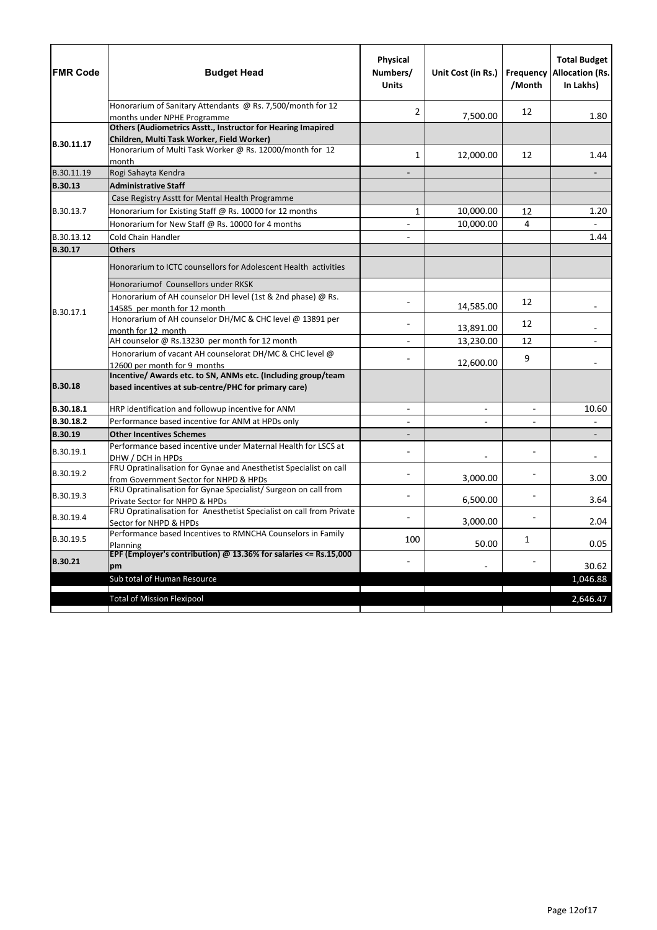| <b>FMR Code</b> | <b>Budget Head</b>                                                                                                                            | Physical<br>Numbers/<br><b>Units</b> | Unit Cost (in Rs.)       | /Month                   | <b>Total Budget</b><br><b>Frequency Allocation (Rs.</b><br>In Lakhs) |
|-----------------|-----------------------------------------------------------------------------------------------------------------------------------------------|--------------------------------------|--------------------------|--------------------------|----------------------------------------------------------------------|
|                 | Honorarium of Sanitary Attendants @ Rs. 7,500/month for 12<br>months under NPHE Programme                                                     | 2                                    | 7,500.00                 | 12                       | 1.80                                                                 |
|                 | Others (Audiometrics Asstt., Instructor for Hearing Imapired                                                                                  |                                      |                          |                          |                                                                      |
|                 | Children, Multi Task Worker, Field Worker)                                                                                                    |                                      |                          |                          |                                                                      |
| B.30.11.17      | Honorarium of Multi Task Worker @ Rs. 12000/month for 12<br>month                                                                             | 1                                    | 12,000.00                | 12                       | 1.44                                                                 |
| B.30.11.19      | Rogi Sahayta Kendra                                                                                                                           |                                      |                          |                          |                                                                      |
| <b>B.30.13</b>  | <b>Administrative Staff</b>                                                                                                                   |                                      |                          |                          |                                                                      |
|                 | Case Registry Asstt for Mental Health Programme                                                                                               |                                      |                          |                          |                                                                      |
| B.30.13.7       | Honorarium for Existing Staff @ Rs. 10000 for 12 months                                                                                       | $\mathbf{1}$                         | 10,000.00                | 12                       | 1.20                                                                 |
|                 | Honorarium for New Staff @ Rs. 10000 for 4 months                                                                                             | $\overline{\phantom{0}}$             | 10,000.00                | 4                        |                                                                      |
| B.30.13.12      | <b>Cold Chain Handler</b>                                                                                                                     |                                      |                          |                          | 1.44                                                                 |
| B.30.17         | <b>Others</b>                                                                                                                                 |                                      |                          |                          |                                                                      |
|                 | Honorarium to ICTC counsellors for Adolescent Health activities                                                                               |                                      |                          |                          |                                                                      |
|                 | Honorariumof Counsellors under RKSK                                                                                                           |                                      |                          |                          |                                                                      |
|                 | Honorarium of AH counselor DH level (1st & 2nd phase) @ Rs.                                                                                   |                                      |                          | 12                       |                                                                      |
| B.30.17.1       | 14585 per month for 12 month                                                                                                                  |                                      | 14,585.00                |                          |                                                                      |
|                 | Honorarium of AH counselor DH/MC & CHC level @ 13891 per                                                                                      |                                      | 13,891.00                | 12                       |                                                                      |
|                 | month for 12 month<br>AH counselor @ Rs.13230 per month for 12 month                                                                          |                                      | 13,230.00                | 12                       |                                                                      |
|                 | Honorarium of vacant AH counselorat DH/MC & CHC level @                                                                                       |                                      |                          |                          |                                                                      |
|                 | 12600 per month for 9 months                                                                                                                  |                                      | 12,600.00                | 9                        |                                                                      |
| <b>B.30.18</b>  | Incentive/ Awards etc. to SN, ANMs etc. (Including group/team<br>based incentives at sub-centre/PHC for primary care)                         |                                      |                          |                          |                                                                      |
| B.30.18.1       | HRP identification and followup incentive for ANM                                                                                             | $\overline{\phantom{a}}$             | $\overline{\phantom{a}}$ | $\overline{\phantom{a}}$ | 10.60                                                                |
| B.30.18.2       | Performance based incentive for ANM at HPDs only                                                                                              |                                      |                          |                          |                                                                      |
| <b>B.30.19</b>  | <b>Other Incentives Schemes</b>                                                                                                               |                                      |                          |                          |                                                                      |
| B.30.19.1       | Performance based incentive under Maternal Health for LSCS at<br>DHW / DCH in HPDs                                                            |                                      |                          |                          |                                                                      |
| B.30.19.2       | FRU Opratinalisation for Gynae and Anesthetist Specialist on call<br>from Government Sector for NHPD & HPDs                                   |                                      | 3,000.00                 |                          | 3.00                                                                 |
| B.30.19.3       | FRU Opratinalisation for Gynae Specialist/ Surgeon on call from<br>Private Sector for NHPD & HPDs                                             |                                      | 6,500.00                 |                          | 3.64                                                                 |
| B.30.19.4       | FRU Opratinalisation for Anesthetist Specialist on call from Private<br>Sector for NHPD & HPDs                                                |                                      | 3,000.00                 |                          | 2.04                                                                 |
| B.30.19.5       | Performance based Incentives to RMNCHA Counselors in Family<br>Planning<br>EPF (Employer's contribution) $@$ 13.36% for salaries <= Rs.15,000 | 100                                  | 50.00                    | 1                        | 0.05                                                                 |
| <b>B.30.21</b>  | pm                                                                                                                                            |                                      |                          |                          | 30.62                                                                |
|                 | Sub total of Human Resource                                                                                                                   |                                      |                          |                          | 1,046.88                                                             |
|                 | <b>Total of Mission Flexipool</b>                                                                                                             |                                      |                          |                          | 2,646.47                                                             |
|                 |                                                                                                                                               |                                      |                          |                          |                                                                      |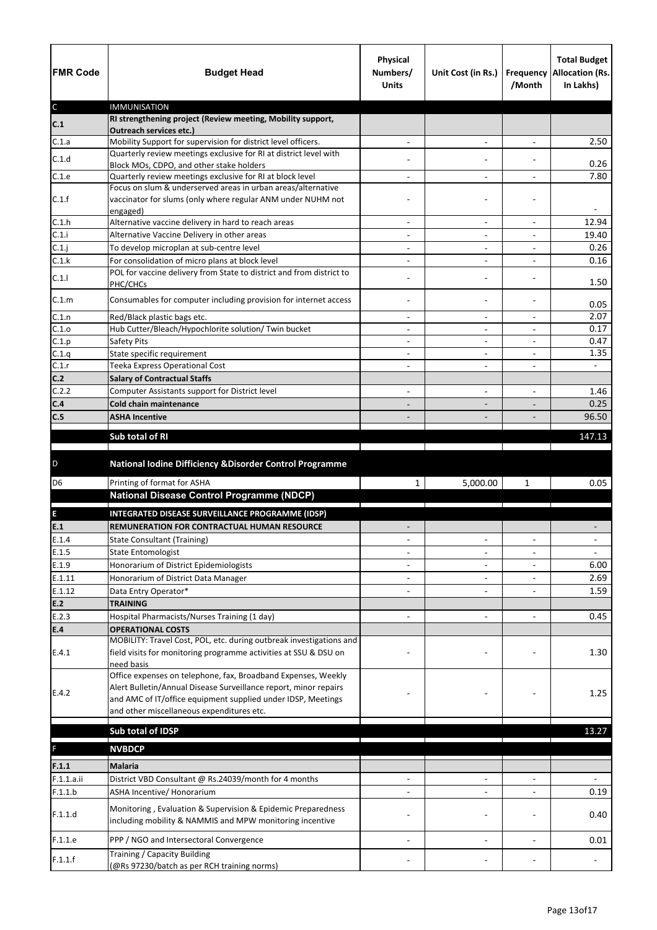| <b>FMR Code</b> | <b>Budget Head</b>                                                                                                                      | <b>Physical</b><br>Numbers/<br><b>Units</b> | Unit Cost (in Rs.)           | <b>Frequency</b><br>/Month | <b>Total Budget</b><br><b>Allocation (Rs.</b><br>In Lakhs) |
|-----------------|-----------------------------------------------------------------------------------------------------------------------------------------|---------------------------------------------|------------------------------|----------------------------|------------------------------------------------------------|
| $\mathsf C$     | <b>IMMUNISATION</b><br>RI strengthening project (Review meeting, Mobility support,                                                      |                                             |                              |                            |                                                            |
| C.1             | <b>Outreach services etc.)</b>                                                                                                          |                                             |                              |                            |                                                            |
| C.1.a           | Mobility Support for supervision for district level officers.                                                                           |                                             | $\overline{\phantom{a}}$     | $\overline{\phantom{a}}$   | 2.50                                                       |
| C.1.d           | Quarterly review meetings exclusive for RI at district level with                                                                       |                                             |                              |                            | 0.26                                                       |
| C.1.e           | Block MOs, CDPO, and other stake holders<br>Quarterly review meetings exclusive for RI at block level                                   |                                             | $\blacksquare$               |                            | 7.80                                                       |
|                 | Focus on slum & underserved areas in urban areas/alternative                                                                            |                                             |                              |                            |                                                            |
| C.1.f           | vaccinator for slums (only where regular ANM under NUHM not<br>engaged)                                                                 |                                             |                              |                            |                                                            |
| C.1.h           | Alternative vaccine delivery in hard to reach areas                                                                                     |                                             |                              |                            | 12.94                                                      |
| C.1.i           | Alternative Vaccine Delivery in other areas                                                                                             | $\overline{\phantom{a}}$                    | $\overline{\phantom{a}}$     | $\overline{\phantom{a}}$   | 19.40                                                      |
| C.1.j           | To develop microplan at sub-centre level                                                                                                |                                             |                              |                            | 0.26                                                       |
| C.1.k           | For consolidation of micro plans at block level                                                                                         |                                             | $\overline{\phantom{0}}$     |                            | 0.16                                                       |
| C.1.1           | POL for vaccine delivery from State to district and from district to<br>PHC/CHCs                                                        |                                             |                              |                            | 1.50                                                       |
| C.1.m           | Consumables for computer including provision for internet access                                                                        |                                             |                              |                            | 0.05                                                       |
| C.1.n           | Red/Black plastic bags etc.                                                                                                             | $\overline{\phantom{a}}$                    | $\overline{\phantom{a}}$     | $\overline{\phantom{a}}$   | 2.07                                                       |
| C.1.o           | Hub Cutter/Bleach/Hypochlorite solution/ Twin bucket                                                                                    |                                             |                              |                            | 0.17<br>0.47                                               |
| C.1.p<br>C.1.q  | <b>Safety Pits</b><br>State specific requirement                                                                                        |                                             | $\qquad \qquad \blacksquare$ | $\overline{a}$             | 1.35                                                       |
| C.1.r           | <b>Teeka Express Operational Cost</b>                                                                                                   | $\overline{\phantom{a}}$                    | $\overline{\phantom{0}}$     | $\overline{\phantom{a}}$   | $\sim$                                                     |
| C.2             | <b>Salary of Contractual Staffs</b>                                                                                                     |                                             |                              |                            |                                                            |
| C.2.2           | Computer Assistants support for District level                                                                                          |                                             | $\overline{\phantom{a}}$     | $\overline{\phantom{0}}$   | 1.46                                                       |
| C.4             | <b>Cold chain maintenance</b>                                                                                                           |                                             |                              |                            | 0.25                                                       |
| C.5             | <b>ASHA Incentive</b>                                                                                                                   |                                             |                              |                            | 96.50                                                      |
|                 |                                                                                                                                         |                                             |                              |                            |                                                            |
|                 | Sub total of RI                                                                                                                         |                                             |                              |                            | 147.13                                                     |
| D               | National Iodine Difficiency & Disorder Control Programme                                                                                |                                             |                              |                            |                                                            |
| D <sub>6</sub>  | Printing of format for ASHA                                                                                                             | $\mathbf{1}$                                | 5,000.00                     | $\mathbf{1}$               | 0.05                                                       |
|                 | <b>National Disease Control Programme (NDCP)</b>                                                                                        |                                             |                              |                            |                                                            |
| E               | INTEGRATED DISEASE SURVEILLANCE PROGRAMME (IDSP)                                                                                        |                                             |                              |                            |                                                            |
| E.1             | REMUNERATION FOR CONTRACTUAL HUMAN RESOURCE                                                                                             |                                             |                              |                            |                                                            |
| E.1.4           | <b>State Consultant (Training)</b>                                                                                                      |                                             | $\blacksquare$               | $\overline{\phantom{a}}$   |                                                            |
| E.1.5           | <b>State Entomologist</b>                                                                                                               |                                             |                              |                            |                                                            |
| E.1.9           | Honorarium of District Epidemiologists                                                                                                  |                                             |                              |                            | 6.00                                                       |
| E.1.11          | Honorarium of District Data Manager                                                                                                     |                                             |                              |                            | 2.69                                                       |
| E.1.12          | Data Entry Operator*                                                                                                                    |                                             |                              |                            | 1.59                                                       |
| E.2             | <b>TRAINING</b>                                                                                                                         |                                             |                              |                            |                                                            |
| E.2.3           | Hospital Pharmacists/Nurses Training (1 day)                                                                                            |                                             | $\overline{\phantom{0}}$     |                            | 0.45                                                       |
| E.4             | <b>OPERATIONAL COSTS</b>                                                                                                                |                                             |                              |                            |                                                            |
| E.4.1           | MOBILITY: Travel Cost, POL, etc. during outbreak investigations and<br>field visits for monitoring programme activities at SSU & DSU on |                                             |                              |                            | 1.30                                                       |
|                 | need basis<br>Office expenses on telephone, fax, Broadband Expenses, Weekly                                                             |                                             |                              |                            |                                                            |
| E.4.2           | Alert Bulletin/Annual Disease Surveillance report, minor repairs                                                                        |                                             |                              |                            | 1.25                                                       |
|                 | and AMC of IT/office equipment supplied under IDSP, Meetings<br>and other miscellaneous expenditures etc.                               |                                             |                              |                            |                                                            |
|                 |                                                                                                                                         |                                             |                              |                            |                                                            |
|                 | Sub total of IDSP                                                                                                                       |                                             |                              |                            | 13.27                                                      |
| F               | <b>NVBDCP</b>                                                                                                                           |                                             |                              |                            |                                                            |
| F.1.1           | <b>Malaria</b>                                                                                                                          |                                             |                              |                            |                                                            |
|                 |                                                                                                                                         |                                             |                              |                            |                                                            |
|                 |                                                                                                                                         |                                             |                              |                            |                                                            |
| F.1.1.a.ii      | District VBD Consultant @ Rs.24039/month for 4 months                                                                                   |                                             |                              |                            |                                                            |
| F.1.1.b         | ASHA Incentive/ Honorarium                                                                                                              |                                             |                              |                            | 0.19                                                       |
| F.1.1.d         | Monitoring, Evaluation & Supervision & Epidemic Preparedness<br>including mobility & NAMMIS and MPW monitoring incentive                |                                             |                              |                            | 0.40                                                       |
| F.1.1.e         | PPP / NGO and Intersectoral Convergence                                                                                                 |                                             |                              |                            | 0.01                                                       |
| F.1.1.f         | Training / Capacity Building<br>(@Rs 97230/batch as per RCH training norms)                                                             |                                             |                              |                            |                                                            |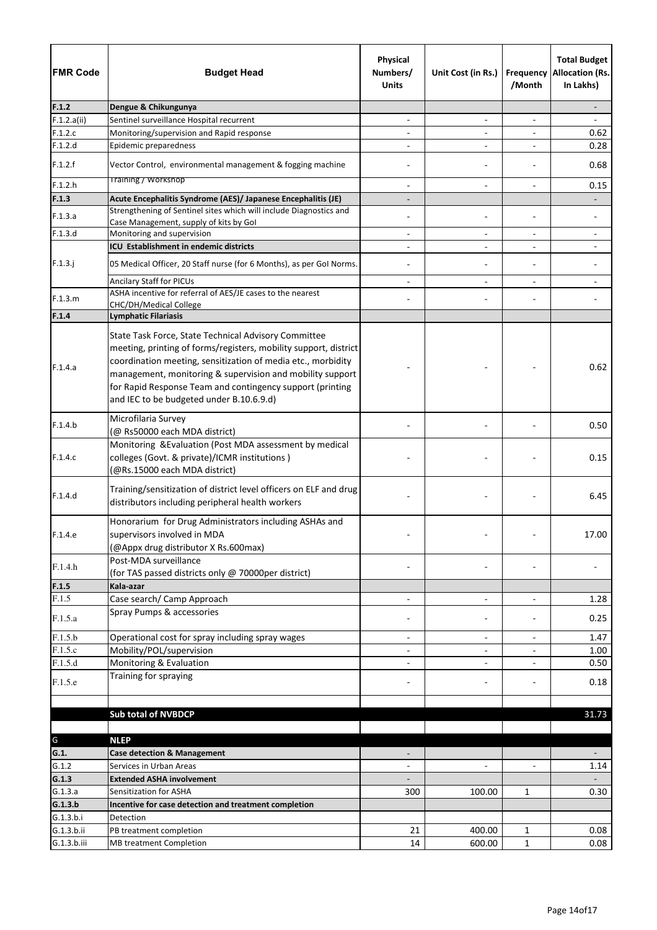| <b>FMR Code</b> | <b>Budget Head</b>                                                                                                                                                                                                                                                                                                                                             | Physical<br>Numbers/<br><b>Units</b> | Unit Cost (in Rs.)           | Frequency<br>/Month          | <b>Total Budget</b><br><b>Allocation (Rs.</b><br>In Lakhs) |
|-----------------|----------------------------------------------------------------------------------------------------------------------------------------------------------------------------------------------------------------------------------------------------------------------------------------------------------------------------------------------------------------|--------------------------------------|------------------------------|------------------------------|------------------------------------------------------------|
| F.1.2           | Dengue & Chikungunya                                                                                                                                                                                                                                                                                                                                           |                                      |                              |                              |                                                            |
| F.1.2.a(ii)     | Sentinel surveillance Hospital recurrent                                                                                                                                                                                                                                                                                                                       | $\overline{\phantom{a}}$             | $\overline{\phantom{a}}$     | $\qquad \qquad \blacksquare$ |                                                            |
| F.1.2.c         | Monitoring/supervision and Rapid response                                                                                                                                                                                                                                                                                                                      |                                      | $\blacksquare$               |                              | 0.62                                                       |
| F.1.2.d         | Epidemic preparedness                                                                                                                                                                                                                                                                                                                                          |                                      | $\overline{\phantom{a}}$     |                              | 0.28                                                       |
| F.1.2.f         | Vector Control, environmental management & fogging machine                                                                                                                                                                                                                                                                                                     |                                      |                              |                              | 0.68                                                       |
| F.1.2.h         | <b>Training / workshop</b>                                                                                                                                                                                                                                                                                                                                     | $\overline{\phantom{a}}$             | $\overline{\phantom{a}}$     | $\overline{\phantom{a}}$     | 0.15                                                       |
| F.1.3           | Acute Encephalitis Syndrome (AES)/ Japanese Encephalitis (JE)                                                                                                                                                                                                                                                                                                  |                                      |                              |                              |                                                            |
| F.1.3.a         | Strengthening of Sentinel sites which will include Diagnostics and<br>Case Management, supply of kits by Gol                                                                                                                                                                                                                                                   |                                      |                              |                              |                                                            |
| F.1.3.d         | Monitoring and supervision                                                                                                                                                                                                                                                                                                                                     | $\overline{\phantom{a}}$             | $\qquad \qquad \blacksquare$ | $\overline{\phantom{a}}$     |                                                            |
|                 | ICU Establishment in endemic districts                                                                                                                                                                                                                                                                                                                         | $\overline{a}$                       | $\blacksquare$               | $\overline{a}$               |                                                            |
| $F.1.3.$ j      | 05 Medical Officer, 20 Staff nurse (for 6 Months), as per Gol Norms.                                                                                                                                                                                                                                                                                           |                                      | $\overline{\phantom{a}}$     | $\overline{\phantom{a}}$     |                                                            |
|                 | <b>Ancilary Staff for PICUs</b>                                                                                                                                                                                                                                                                                                                                |                                      |                              |                              |                                                            |
| F.1.3.m         | ASHA incentive for referral of AES/JE cases to the nearest                                                                                                                                                                                                                                                                                                     |                                      |                              |                              |                                                            |
|                 | CHC/DH/Medical College                                                                                                                                                                                                                                                                                                                                         |                                      |                              |                              |                                                            |
| F.1.4           | <b>Lymphatic Filariasis</b>                                                                                                                                                                                                                                                                                                                                    |                                      |                              |                              |                                                            |
| F.1.4.a         | State Task Force, State Technical Advisory Committee<br>meeting, printing of forms/registers, mobility support, district<br>coordination meeting, sensitization of media etc., morbidity<br>management, monitoring & supervision and mobility support<br>for Rapid Response Team and contingency support (printing<br>and IEC to be budgeted under B.10.6.9.d) |                                      |                              |                              | 0.62                                                       |
| F.1.4.b         | Microfilaria Survey<br>(@ Rs50000 each MDA district)                                                                                                                                                                                                                                                                                                           |                                      |                              |                              | 0.50                                                       |
| F.1.4.c         | Monitoring & Evaluation (Post MDA assessment by medical<br>colleges (Govt. & private)/ICMR institutions)<br>(@Rs.15000 each MDA district)                                                                                                                                                                                                                      |                                      |                              |                              | 0.15                                                       |
| F.1.4.d         | Training/sensitization of district level officers on ELF and drug<br>distributors including peripheral health workers                                                                                                                                                                                                                                          |                                      |                              |                              | 6.45                                                       |
| F.1.4.e         | Honorarium for Drug Administrators including ASHAs and<br>supervisors involved in MDA<br>(@Appx drug distributor X Rs.600max)                                                                                                                                                                                                                                  |                                      |                              |                              | 17.00                                                      |
| F.1.4.h         | Post-MDA surveillance<br>(for TAS passed districts only @ 70000per district)                                                                                                                                                                                                                                                                                   |                                      |                              |                              |                                                            |
| F.1.5           | Kala-azar                                                                                                                                                                                                                                                                                                                                                      |                                      |                              |                              |                                                            |
| F.1.5           | Case search/ Camp Approach                                                                                                                                                                                                                                                                                                                                     | $\overline{\phantom{a}}$             | $\overline{\phantom{a}}$     | $\overline{\phantom{a}}$     | 1.28                                                       |
| F.1.5.a         | Spray Pumps & accessories                                                                                                                                                                                                                                                                                                                                      |                                      |                              |                              | 0.25                                                       |
| F.1.5.b         | Operational cost for spray including spray wages                                                                                                                                                                                                                                                                                                               | $\overline{\phantom{a}}$             | $\overline{\phantom{a}}$     | $\overline{\phantom{a}}$     | 1.47                                                       |
| F.1.5.c         | Mobility/POL/supervision                                                                                                                                                                                                                                                                                                                                       |                                      |                              |                              | 1.00                                                       |
| F.1.5.d         | Monitoring & Evaluation                                                                                                                                                                                                                                                                                                                                        | $\overline{\phantom{a}}$             | $\overline{\phantom{a}}$     |                              | 0.50                                                       |
| F.1.5.e         | Training for spraying                                                                                                                                                                                                                                                                                                                                          |                                      |                              |                              | 0.18                                                       |
|                 |                                                                                                                                                                                                                                                                                                                                                                |                                      |                              |                              |                                                            |
|                 | <b>Sub total of NVBDCP</b>                                                                                                                                                                                                                                                                                                                                     |                                      |                              |                              | 31.73                                                      |
|                 |                                                                                                                                                                                                                                                                                                                                                                |                                      |                              |                              |                                                            |
| G               | <b>NLEP</b>                                                                                                                                                                                                                                                                                                                                                    |                                      |                              |                              |                                                            |
| G.1.            | <b>Case detection &amp; Management</b>                                                                                                                                                                                                                                                                                                                         |                                      |                              |                              |                                                            |
| G.1.2<br>G.1.3  | Services in Urban Areas<br><b>Extended ASHA involvement</b>                                                                                                                                                                                                                                                                                                    |                                      |                              |                              | 1.14<br>$\overline{\phantom{a}}$                           |
| G.1.3.a         | Sensitization for ASHA                                                                                                                                                                                                                                                                                                                                         | 300                                  | 100.00                       | $\mathbf{1}$                 | 0.30                                                       |
| G.1.3.b         | Incentive for case detection and treatment completion                                                                                                                                                                                                                                                                                                          |                                      |                              |                              |                                                            |
| G.1.3.b.i       | Detection                                                                                                                                                                                                                                                                                                                                                      |                                      |                              |                              |                                                            |
| G.1.3.b.ii      | PB treatment completion                                                                                                                                                                                                                                                                                                                                        | 21                                   | 400.00                       | $\mathbf{1}$                 | 0.08                                                       |
| G.1.3.b.iii     | <b>MB treatment Completion</b>                                                                                                                                                                                                                                                                                                                                 | 14                                   | 600.00                       | $\mathbf{1}$                 | 0.08                                                       |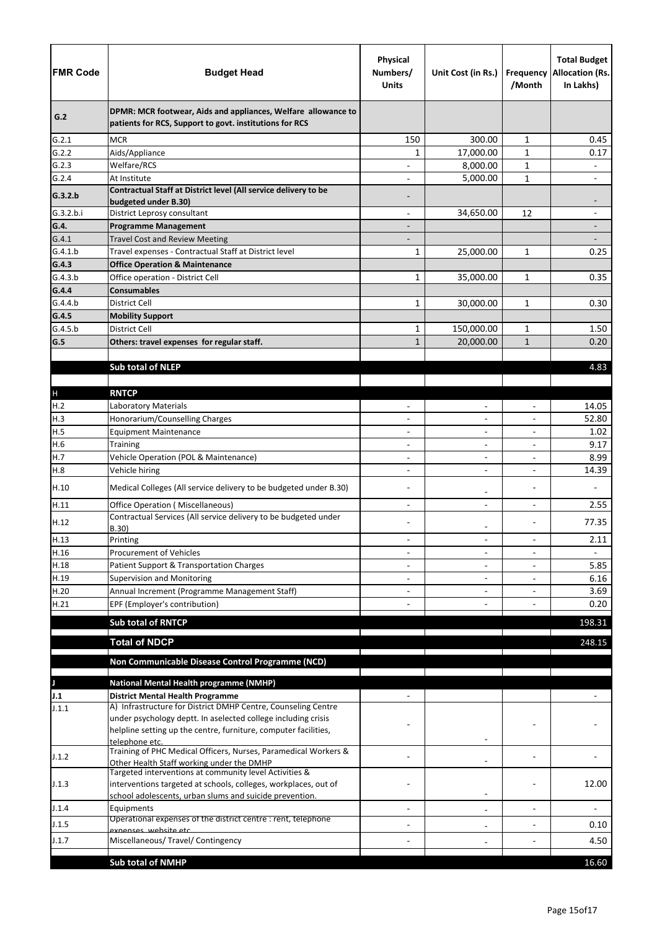| <b>FMR Code</b>      | <b>Budget Head</b>                                                                                                             | <b>Physical</b><br>Numbers/<br><b>Units</b> | Unit Cost (in Rs.)           | /Month                   | <b>Total Budget</b><br><b>Frequency Allocation (Rs.</b><br>In Lakhs) |
|----------------------|--------------------------------------------------------------------------------------------------------------------------------|---------------------------------------------|------------------------------|--------------------------|----------------------------------------------------------------------|
| G.2                  | DPMR: MCR footwear, Aids and appliances, Welfare allowance to<br>patients for RCS, Support to govt. institutions for RCS       |                                             |                              |                          |                                                                      |
| G.2.1                | <b>MCR</b>                                                                                                                     | 150                                         | 300.00                       | $\mathbf{1}$             | 0.45                                                                 |
| G.2.2                | Aids/Appliance                                                                                                                 | 1                                           | 17,000.00                    | $\mathbf{1}$             | 0.17                                                                 |
| G.2.3                | Welfare/RCS                                                                                                                    |                                             | 8,000.00                     | $\mathbf{1}$             | $\overline{\phantom{0}}$                                             |
| G.2.4                | At Institute                                                                                                                   |                                             | 5,000.00                     | $\mathbf{1}$             |                                                                      |
| G.3.2.b<br>G.3.2.b.i | Contractual Staff at District level (All service delivery to be<br>budgeted under B.30)<br>District Leprosy consultant         |                                             | 34,650.00                    | 12                       | $\qquad \qquad \blacksquare$                                         |
| G.4.                 | <b>Programme Management</b>                                                                                                    | $\overline{\phantom{a}}$                    |                              |                          |                                                                      |
| G.4.1                | <b>Travel Cost and Review Meeting</b>                                                                                          |                                             |                              |                          |                                                                      |
| G.4.1.b              | Travel expenses - Contractual Staff at District level                                                                          | $\mathbf{1}$                                | 25,000.00                    | 1                        | 0.25                                                                 |
| G.4.3                | <b>Office Operation &amp; Maintenance</b>                                                                                      |                                             |                              |                          |                                                                      |
| G.4.3.b              | Office operation - District Cell                                                                                               | $\mathbf{1}$                                | 35,000.00                    | $\mathbf{1}$             | 0.35                                                                 |
| G.4.4                | <b>Consumables</b>                                                                                                             |                                             |                              |                          |                                                                      |
| G.4.4.b              | <b>District Cell</b>                                                                                                           | $\mathbf{1}$                                | 30,000.00                    | $\mathbf{1}$             | 0.30                                                                 |
| G.4.5                | <b>Mobility Support</b>                                                                                                        |                                             |                              |                          |                                                                      |
| G.4.5.b              | District Cell                                                                                                                  | $\mathbf{1}$                                | 150,000.00                   | $\mathbf{1}$             | 1.50                                                                 |
| G.5                  | Others: travel expenses for regular staff.                                                                                     | $\mathbf{1}$                                | 20,000.00                    | $\mathbf{1}$             | 0.20                                                                 |
|                      |                                                                                                                                |                                             |                              |                          |                                                                      |
|                      | <b>Sub total of NLEP</b>                                                                                                       |                                             |                              |                          | 4.83                                                                 |
|                      |                                                                                                                                |                                             |                              |                          |                                                                      |
| $\mathsf{H}%$        | <b>RNTCP</b>                                                                                                                   |                                             |                              |                          |                                                                      |
| H.2                  | Laboratory Materials                                                                                                           |                                             | $\overline{\phantom{0}}$     |                          | 14.05                                                                |
| H.3                  | Honorarium/Counselling Charges                                                                                                 |                                             | $\overline{\phantom{0}}$     | $\overline{\phantom{a}}$ | 52.80                                                                |
| H.5                  | <b>Equipment Maintenance</b>                                                                                                   |                                             | $\qquad \qquad -$            |                          | 1.02                                                                 |
| H.6                  | <b>Training</b>                                                                                                                | $\overline{\phantom{a}}$                    | $\overline{\phantom{0}}$     |                          | 9.17                                                                 |
| H.7                  | Vehicle Operation (POL & Maintenance)                                                                                          |                                             | $\overline{a}$               |                          | 8.99                                                                 |
| H.8                  | Vehicle hiring                                                                                                                 |                                             |                              |                          | 14.39                                                                |
| H.10                 | Medical Colleges (All service delivery to be budgeted under B.30)                                                              |                                             |                              |                          |                                                                      |
| H.11                 | <b>Office Operation (Miscellaneous)</b>                                                                                        |                                             | $\overline{\phantom{0}}$     |                          | 2.55                                                                 |
| H.12                 | Contractual Services (All service delivery to be budgeted under<br>B.30)                                                       |                                             | -                            |                          | 77.35                                                                |
| H.13                 | Printing                                                                                                                       | $\overline{\phantom{0}}$                    | $\overline{\phantom{0}}$     | $\overline{a}$           | 2.11                                                                 |
| H.16                 | <b>Procurement of Vehicles</b>                                                                                                 |                                             | $\overline{\phantom{0}}$     |                          |                                                                      |
| H.18                 | Patient Support & Transportation Charges                                                                                       |                                             | $\qquad \qquad -$            |                          | 5.85                                                                 |
| H.19                 | <b>Supervision and Monitoring</b>                                                                                              |                                             | $\overline{\phantom{0}}$     |                          | 6.16                                                                 |
| H.20                 | Annual Increment (Programme Management Staff)                                                                                  |                                             |                              |                          | 3.69                                                                 |
| H.21                 | EPF (Employer's contribution)                                                                                                  |                                             |                              |                          | 0.20                                                                 |
|                      | <b>Sub total of RNTCP</b>                                                                                                      |                                             |                              |                          | 198.31                                                               |
|                      |                                                                                                                                |                                             |                              |                          |                                                                      |
|                      | <b>Total of NDCP</b>                                                                                                           |                                             |                              |                          | 248.15                                                               |
|                      | Non Communicable Disease Control Programme (NCD)                                                                               |                                             |                              |                          |                                                                      |
|                      |                                                                                                                                |                                             |                              |                          |                                                                      |
|                      | <b>National Mental Health programme (NMHP)</b>                                                                                 |                                             |                              |                          |                                                                      |
| J.1                  | <b>District Mental Health Programme</b>                                                                                        |                                             |                              |                          |                                                                      |
| J.1.1                | A) Infrastructure for District DMHP Centre, Counseling Centre<br>under psychology deptt. In aselected college including crisis |                                             |                              |                          |                                                                      |
|                      | helpline setting up the centre, furniture, computer facilities,                                                                |                                             |                              |                          |                                                                      |
| J.1.2                | telephone etc.<br>Training of PHC Medical Officers, Nurses, Paramedical Workers &<br>Other Health Staff working under the DMHP |                                             |                              |                          |                                                                      |
| J.1.3                | Targeted interventions at community level Activities &<br>interventions targeted at schools, colleges, workplaces, out of      |                                             |                              |                          | 12.00                                                                |
|                      | school adolescents, urban slums and suicide prevention.                                                                        |                                             | $\qquad \qquad \blacksquare$ |                          |                                                                      |
| J.1.4                | Equipments<br>Operational expenses of the district centre : rent, telephone                                                    |                                             | $\qquad \qquad -$            |                          |                                                                      |
| J.1.5                | exnenses, website etc                                                                                                          |                                             | $\qquad \qquad -$            |                          | 0.10                                                                 |
| J.1.7                | Miscellaneous/ Travel/ Contingency                                                                                             |                                             |                              |                          | 4.50                                                                 |
|                      |                                                                                                                                |                                             |                              |                          |                                                                      |
|                      | <b>Sub total of NMHP</b>                                                                                                       |                                             |                              |                          | 16.60                                                                |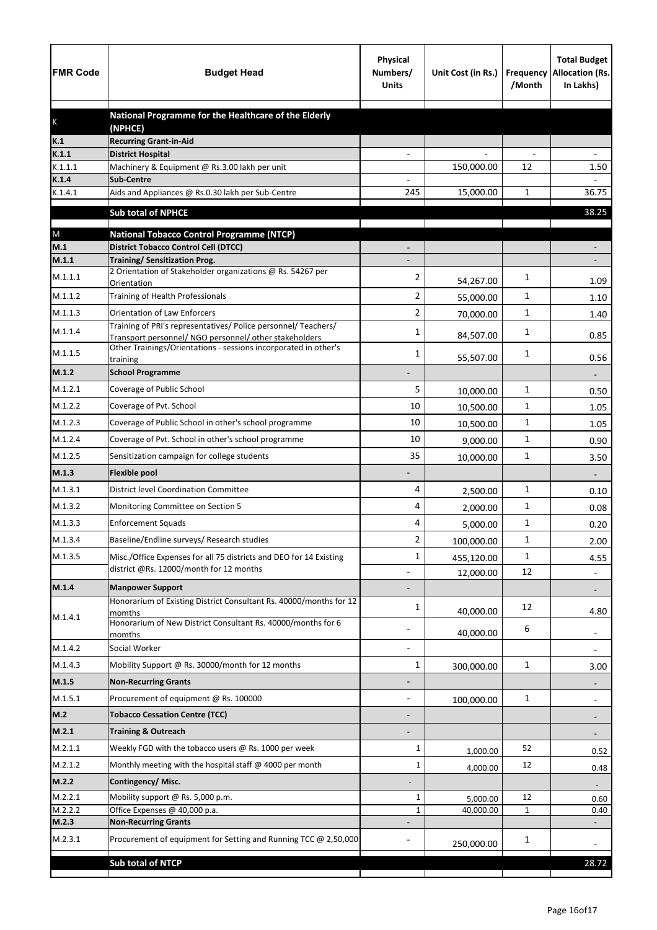| <b>FMR Code</b>  | <b>Budget Head</b>                                                                              | <b>Physical</b><br>Numbers/<br><b>Units</b> | Unit Cost (in Rs.) | Frequency<br>/Month | <b>Total Budget</b><br><b>Allocation (Rs.</b><br>In Lakhs) |
|------------------|-------------------------------------------------------------------------------------------------|---------------------------------------------|--------------------|---------------------|------------------------------------------------------------|
|                  | National Programme for the Healthcare of the Elderly                                            |                                             |                    |                     |                                                            |
| K                | (NPHCE)                                                                                         |                                             |                    |                     |                                                            |
| K.1              | <b>Recurring Grant-in-Aid</b>                                                                   |                                             |                    |                     |                                                            |
| K.1.1<br>K.1.1.1 | <b>District Hospital</b><br>Machinery & Equipment @ Rs.3.00 lakh per unit                       |                                             | 150,000.00         | 12                  | 1.50                                                       |
| K.1.4            | <b>Sub-Centre</b>                                                                               |                                             |                    |                     |                                                            |
| K.1.4.1          | Aids and Appliances @ Rs.0.30 lakh per Sub-Centre                                               | 245                                         | 15,000.00          | 1                   | 36.75                                                      |
|                  | <b>Sub total of NPHCE</b>                                                                       |                                             |                    |                     | 38.25                                                      |
|                  |                                                                                                 |                                             |                    |                     |                                                            |
| ${\sf M}$<br>M.1 | <b>National Tobacco Control Programme (NTCP)</b><br><b>District Tobacco Control Cell (DTCC)</b> |                                             |                    |                     |                                                            |
| M.1.1            | <b>Training/ Sensitization Prog.</b>                                                            |                                             |                    |                     |                                                            |
| M.1.1.1          | 2 Orientation of Stakeholder organizations @ Rs. 54267 per                                      | 2                                           | 54,267.00          | 1                   | 1.09                                                       |
| M.1.1.2          | Orientation<br>Training of Health Professionals                                                 | $\overline{2}$                              | 55,000.00          | 1                   | 1.10                                                       |
| M.1.1.3          | <b>Orientation of Law Enforcers</b>                                                             | 2                                           |                    | 1                   |                                                            |
|                  | Training of PRI's representatives/ Police personnel/ Teachers/                                  |                                             | 70,000.00          |                     | 1.40                                                       |
| M.1.1.4          | Transport personnel/ NGO personnel/ other stakeholders                                          | 1                                           | 84,507.00          | 1                   | 0.85                                                       |
| M.1.1.5          | Other Trainings/Orientations - sessions incorporated in other's<br>training                     | 1                                           | 55,507.00          | 1                   | 0.56                                                       |
| M.1.2            | <b>School Programme</b>                                                                         |                                             |                    |                     |                                                            |
| M.1.2.1          | Coverage of Public School                                                                       | 5                                           | 10,000.00          | 1                   | 0.50                                                       |
| M.1.2.2          | Coverage of Pvt. School                                                                         | 10                                          | 10,500.00          | 1                   | 1.05                                                       |
| M.1.2.3          | Coverage of Public School in other's school programme                                           | 10                                          | 10,500.00          | 1                   | 1.05                                                       |
| M.1.2.4          | Coverage of Pvt. School in other's school programme                                             | 10                                          | 9,000.00           | 1                   | 0.90                                                       |
| M.1.2.5          | Sensitization campaign for college students                                                     | 35                                          | 10,000.00          | $\mathbf{1}$        | 3.50                                                       |
| M.1.3            | <b>Flexible pool</b>                                                                            |                                             |                    |                     |                                                            |
| M.1.3.1          | <b>District level Coordination Committee</b>                                                    | 4                                           | 2,500.00           | 1                   | 0.10                                                       |
| M.1.3.2          | Monitoring Committee on Section 5                                                               | 4                                           | 2,000.00           | 1                   | 0.08                                                       |
| M.1.3.3          | <b>Enforcement Squads</b>                                                                       | 4                                           | 5,000.00           | 1                   | 0.20                                                       |
| M.1.3.4          | Baseline/Endline surveys/ Research studies                                                      | 2                                           | 100,000.00         | 1                   | 2.00                                                       |
| M.1.3.5          | Misc./Office Expenses for all 75 districts and DEO for 14 Existing                              | 1                                           | 455,120.00         | 1                   | 4.55                                                       |
|                  | district @Rs. 12000/month for 12 months                                                         |                                             | 12,000.00          | 12                  | $\overline{\phantom{a}}$                                   |
| M.1.4            | <b>Manpower Support</b>                                                                         |                                             |                    |                     |                                                            |
|                  | Honorarium of Existing District Consultant Rs. 40000/months for 12                              | 1                                           |                    | 12                  |                                                            |
| M.1.4.1          | momths<br>Honorarium of New District Consultant Rs. 40000/months for 6                          |                                             | 40,000.00          |                     | 4.80                                                       |
|                  | momths                                                                                          |                                             | 40,000.00          | 6                   | $\overline{\phantom{a}}$                                   |
| M.1.4.2          | Social Worker                                                                                   |                                             |                    |                     | $\overline{\phantom{a}}$                                   |
| M.1.4.3          | Mobility Support @ Rs. 30000/month for 12 months                                                | $\mathbf{1}$                                | 300,000.00         | $\mathbf 1$         | 3.00                                                       |
| M.1.5            | <b>Non-Recurring Grants</b>                                                                     |                                             |                    |                     |                                                            |
| M.1.5.1          | Procurement of equipment @ Rs. 100000                                                           |                                             | 100,000.00         | $\mathbf 1$         |                                                            |
| M.2              | <b>Tobacco Cessation Centre (TCC)</b>                                                           |                                             |                    |                     |                                                            |
| M.2.1            | <b>Training &amp; Outreach</b>                                                                  |                                             |                    |                     |                                                            |
| M.2.1.1          | Weekly FGD with the tobacco users @ Rs. 1000 per week                                           | 1                                           | 1,000.00           | 52                  | 0.52                                                       |
| M.2.1.2          | Monthly meeting with the hospital staff @ 4000 per month                                        | 1                                           | 4,000.00           | 12                  | 0.48                                                       |
| M.2.2            | Contingency/Misc.                                                                               |                                             |                    |                     |                                                            |
| M.2.2.1          | Mobility support @ Rs. 5,000 p.m.                                                               | 1                                           | 5,000.00           | 12                  | 0.60                                                       |
| M.2.2.2          | Office Expenses @ 40,000 p.a.                                                                   | 1                                           | 40,000.00          | $\mathbf{1}$        | 0.40                                                       |
| M.2.3            | <b>Non-Recurring Grants</b>                                                                     |                                             |                    |                     |                                                            |
| M.2.3.1          | Procurement of equipment for Setting and Running TCC @ 2,50,000                                 |                                             | 250,000.00         | 1                   |                                                            |
|                  | <b>Sub total of NTCP</b>                                                                        |                                             |                    |                     | 28.72                                                      |
|                  |                                                                                                 |                                             |                    |                     |                                                            |